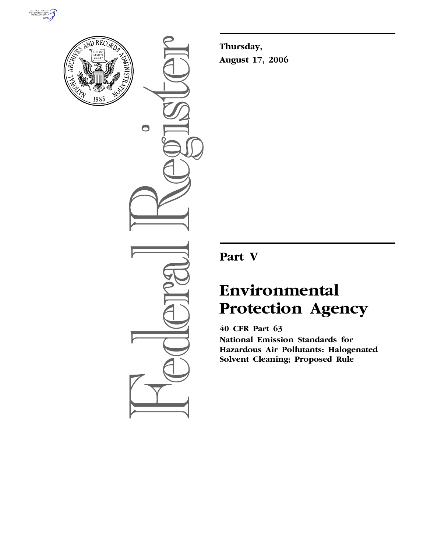



 $\bullet$ 

**Thursday, August 17, 2006** 

# **Part V**

# **Environmental Protection Agency**

**40 CFR Part 63 National Emission Standards for Hazardous Air Pollutants: Halogenated Solvent Cleaning; Proposed Rule**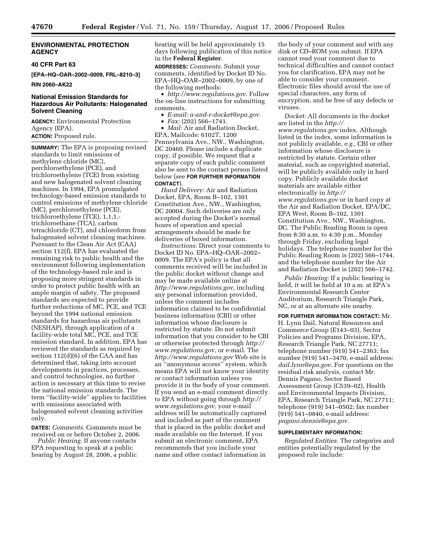#### **ENVIRONMENTAL PROTECTION AGENCY**

#### **40 CFR Part 63**

**[EPA–HQ–OAR–2002–0009, FRL–8210–3]** 

#### **RIN 2060–AK22**

#### **National Emission Standards for Hazardous Air Pollutants: Halogenated Solvent Cleaning**

**AGENCY:** Environmental Protection Agency (EPA).

**ACTION:** Proposed rule.

**SUMMARY:** The EPA is proposing revised standards to limit emissions of methylene chloride (MC), perchloroethylene (PCE), and trichloroethylene (TCE) from existing and new halogenated solvent cleaning machines. In 1994, EPA promulgated technology-based emission standards to control emissions of methylene chloride (MC), perchloroethylene (PCE), trichloroethylene (TCE), 1,1,1, trichloroethane (TCA), carbon tetrachloride (CT), and chloroform from halogenated solvent cleaning machines. Pursuant to the Clean Air Act (CAA) section 112(f), EPA has evaluated the remaining risk to public health and the environment following implementation of the technology-based rule and is proposing more stringent standards in order to protect public health with an ample margin of safety. The proposed standards are expected to provide further reductions of MC, PCE, and TCE beyond the 1994 national emission standards for hazardous air pollutants (NESHAP), through application of a facility-wide total MC, PCE, and TCE emission standard. In addition, EPA has reviewed the standards as required by section 112(d)(6) of the CAA and has determined that, taking into account developments in practices, processes, and control technologies, no further action is necessary at this time to revise the national emission standards. The term ''facility-wide'' applies to facilities with emissions associated with halogenated solvent cleaning activities only.

**DATES:** *Comments*. Comments must be received on or before October 2, 2006.

*Public Hearing.* If anyone contacts EPA requesting to speak at a public hearing by August 28, 2006, a public hearing will be held approximately 15 days following publication of this notice in the **Federal Register**.

**ADDRESSES:** *Comments.* Submit your comments, identified by Docket ID No. EPA–HQ–OAR–2002–0009, by one of the following methods:

• *http://www.regulations.gov*. Follow the on-line instructions for submitting comments.

- *E-mail: a-and-r-docket@epa.gov.*
- *Fax:* (202) 566–1741.

• *Mail:* Air and Radiation Docket, EPA, Mailcode: 6102T, 1200 Pennsylvania Ave., NW., Washington, DC 20460. Please include a duplicate copy, if possible. We request that a separate copy of each public comment also be sent to the contact person listed below (see **FOR FURTHER INFORMATION CONTACT**).

*Hand Delivery:* Air and Radiation Docket, EPA, Room B–102, 1301 Constitution Ave., NW., Washington, DC 20004. Such deliveries are only accepted during the Docket's normal hours of operation and special arrangements should be made for deliveries of boxed information.

*Instructions:* Direct your comments to Docket ID No. EPA–HQ–OAR–2002– 0009. The EPA's policy is that all comments received will be included in the public docket without change and may be made available online at *http://www.regulations.gov*, including any personal information provided, unless the comment includes information claimed to be confidential business information (CBI) or other information whose disclosure is restricted by statute. Do not submit information that you consider to be CBI or otherwise protected through *http:// www.regulations.gov*, or e-mail. The *http://www.regulations.gov* Web site is an ''anonymous access'' system, which means EPA will not know your identity or contact information unless you provide it in the body of your comment. If you send an e-mail comment directly to EPA without going through *http:// www.regulations.gov,* your e-mail address will be automatically captured and included as part of the comment that is placed in the public docket and made available on the Internet. If you submit an electronic comment, EPA recommends that you include your name and other contact information in

the body of your comment and with any disk or CD–ROM you submit. If EPA cannot read your comment due to technical difficulties and cannot contact you for clarification, EPA may not be able to consider your comment. Electronic files should avoid the use of special characters, any form of encryption, and be free of any defects or viruses.

*Docket:* All documents in the docket are listed in the *http:// www.regulations.gov* index. Although listed in the index, some information is not publicly available, *e.g.*, CBI or other information whose disclosure is restricted by statute. Certain other material, such as copyrighted material, will be publicly available only in hard copy. Publicly available docket materials are available either electronically in *http:// www.regulations.gov* or in hard copy at the Air and Radiation Docket, EPA/DC, EPA West, Room B–102, 1301 Constitution Ave., NW., Washington, DC. The Public Reading Room is open from 8:30 a.m. to 4:30 p.m., Monday through Friday, excluding legal holidays. The telephone number for the Public Reading Room is (202) 566–1744, and the telephone number for the Air and Radiation Docket is (202) 566–1742.

*Public Hearing:* If a public hearing is held, it will be held at 10 a.m. at EPA's Environmental Research Center Auditorium, Research Triangle Park, NC, or at an alternate site nearby.

**FOR FURTHER INFORMATION CONTACT:** Mr. H. Lynn Dail, Natural Resources and Commerce Group (E143–03), Sector Policies and Programs Division, EPA, Research Triangle Park, NC 27711; telephone number (919) 541–2363; fax number (919) 541–3470, e-mail address: *dail.lynn@epa.gov*. For questions on the residual risk analysis, contact Mr. Dennis Pagano, Sector Based Assessment Group (C539–02), Health and Environmental Impacts Division, EPA, Research Triangle Park, NC 27711; telephone (919) 541–0502; fax number (919) 541–0840, e-mail address: *pagano.dennis@epa.gov.* 

#### **SUPPLEMENTARY INFORMATION:**

*Regulated Entities.* The categories and entities potentially regulated by the proposed rule include: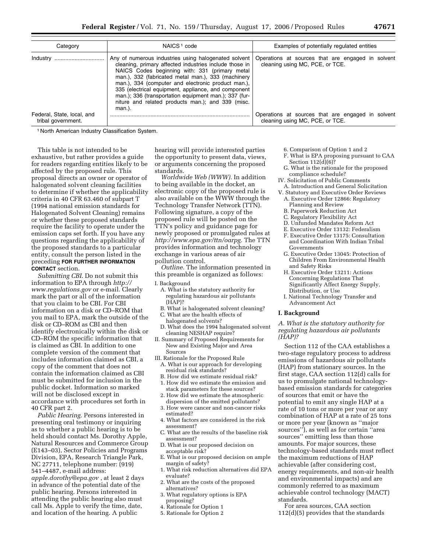| Category                                         | NAICS <sup>1</sup> code                                                                                                                                                                                                                                                                                                                                                                                                                                     | Examples of potentially regulated entities                                           |  |  |  |
|--------------------------------------------------|-------------------------------------------------------------------------------------------------------------------------------------------------------------------------------------------------------------------------------------------------------------------------------------------------------------------------------------------------------------------------------------------------------------------------------------------------------------|--------------------------------------------------------------------------------------|--|--|--|
| Industry                                         | Any of numerous industries using halogenated solvent<br>cleaning, primary affected industries include those in<br>NAICS Codes beginning with: 331 (primary metal<br>man.), 332 (fabricated metal man.), 333 (machinery<br>man.), 334 (computer and electronic product man.).<br>335 (electrical equipment, appliance, and component<br>man.); 336 (transportation equipment man.); 337 (fur-<br>niture and related products man.); and 339 (misc.<br>man.). | Operations at sources that are engaged in solvent<br>cleaning using MC, PCE, or TCE. |  |  |  |
| Federal, State, local, and<br>tribal government. |                                                                                                                                                                                                                                                                                                                                                                                                                                                             | Operations at sources that are engaged in solvent<br>cleaning using MC, PCE, or TCE. |  |  |  |

1 North American Industry Classification System.

This table is not intended to be exhaustive, but rather provides a guide for readers regarding entities likely to be affected by the proposed rule. This proposal directs an owner or operator of halogenated solvent cleaning facilities to determine if whether the applicability criteria in 40 CFR 63.460 of subpart T (1994 national emission standards for Halogenated Solvent Cleaning) remains or whether these proposed standards require the facility to operate under the emission caps set forth. If you have any questions regarding the applicability of the proposed standards to a particular entity, consult the person listed in the preceding **FOR FURTHER INFORMATION CONTACT** section.

*Submitting CBI*. Do not submit this information to EPA through *http:// www.regulations.gov* or e-mail. Clearly mark the part or all of the information that you claim to be CBI. For CBI information on a disk or CD–ROM that you mail to EPA, mark the outside of the disk or CD–ROM as CBI and then identify electronically within the disk or CD–ROM the specific information that is claimed as CBI. In addition to one complete version of the comment that includes information claimed as CBI, a copy of the comment that does not contain the information claimed as CBI must be submitted for inclusion in the public docket. Information so marked will not be disclosed except in accordance with procedures set forth in 40 CFR part 2.

*Public Hearing.* Persons interested in presenting oral testimony or inquiring as to whether a public hearing is to be held should contact Ms. Dorothy Apple, Natural Resources and Commerce Group (E143–03), Sector Policies and Programs Division, EPA, Research Triangle Park, NC 27711, telephone number: (919) 541–4487, e-mail address:

*apple.dorothy@epa.gov* , at least 2 days in advance of the potential date of the public hearing. Persons interested in attending the public hearing also must call Ms. Apple to verify the time, date, and location of the hearing. A public

hearing will provide interested parties the opportunity to present data, views, or arguments concerning the proposed standards.

*Worldwide Web (WWW).* In addition to being available in the docket, an electronic copy of the proposed rule is also available on the WWW through the Technology Transfer Network (TTN). Following signature, a copy of the proposed rule will be posted on the TTN's policy and guidance page for newly proposed or promulgated rules at *http://www.epa.gov/ttn/oarpg.* The TTN provides information and technology exchange in various areas of air pollution control.

*Outline.* The information presented in this preamble is organized as follows:

#### I. Background

- A. What is the statutory authority for regulating hazardous air pollutants (HAP)?
- B. What is halogenated solvent cleaning?
- C. What are the health effects of halogenated solvents?
- D. What does the 1994 halogenated solvent cleaning NESHAP require?
- II. Summary of Proposed Requirements for New and Existing Major and Area Sources
- III. Rationale for the Proposed Rule A. What is our approach for developing residual risk standards?
	- B. How did we estimate residual risk? 1. How did we estimate the emission and
	- stack parameters for these sources? 2. How did we estimate the atmospheric
	- dispersion of the emitted pollutants?
	- 3. How were cancer and non-cancer risks estimated?
	- 4. What factors are considered in the risk assessment?
	- C. What are the results of the baseline risk assessment?
	- D. What is our proposed decision on acceptable risk?
	- E. What is our proposed decision on ample margin of safety<sup>'</sup>
- 1. What risk reduction alternatives did EPA evaluate?
- 2. What are the costs of the proposed alternatives?
- 3. What regulatory options is EPA proposing?
- 4. Rationale for Option 1
- 5. Rationale for Option 2
- 6. Comparison of Option 1 and 2
- F. What is EPA proposing pursuant to CAA Section  $112(d)(6)$ ?
- G. What is the rationale for the proposed compliance schedule?
- IV. Solicitation of Public Comments A. Introduction and General Solicitation
- V. Statutory and Executive Order Reviews A. Executive Order 12866: Regulatory
- Planning and Review B. Paperwork Reduction Act
- C. Regulatory Flexibility Act
- D. Unfunded Mandates Reform Act
- E. Executive Order 13132: Federalism
- F. Executive Order 13175: Consultation
- and Coordination With Indian Tribal Governments
- G. Executive Order 13045: Protection of Children From Environmental Health and Safety Risks
- H. Executive Order 13211: Actions Concerning Regulations That Significantly Affect Energy Supply, Distribution, or Use
- I. National Technology Transfer and Advancement Act

#### **I. Background**

*A. What is the statutory authority for regulating hazardous air pollutants (HAP)?* 

Section 112 of the CAA establishes a two-stage regulatory process to address emissions of hazardous air pollutants (HAP) from stationary sources. In the first stage, CAA section 112(d) calls for us to promulgate national technologybased emission standards for categories of sources that emit or have the potential to emit any single HAP at a rate of 10 tons or more per year or any combination of HAP at a rate of 25 tons or more per year (known as ''major sources''), as well as for certain ''area sources'' emitting less than those amounts. For major sources, these technology-based standards must reflect the maximum reductions of HAP achievable (after considering cost, energy requirements, and non-air health and environmental impacts) and are commonly referred to as maximum achievable control technology (MACT) standards.

For area sources, CAA section 112(d)(5) provides that the standards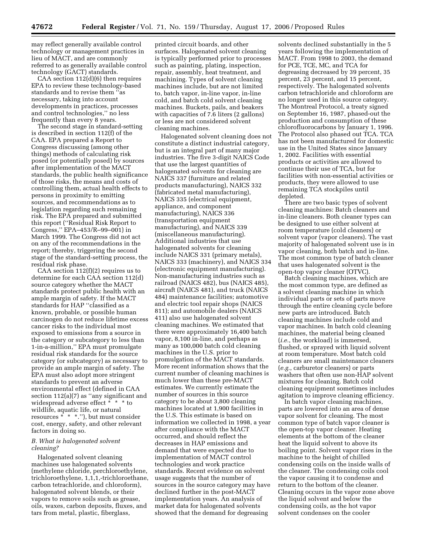may reflect generally available control technology or management practices in lieu of MACT, and are commonly referred to as generally available control technology (GACT) standards.

CAA section 112(d)(6) then requires EPA to review these technology-based standards and to revise them ''as necessary, taking into account developments in practices, processes and control technologies,'' no less frequently than every 8 years.

The second stage in standard-setting is described in section 112(f) of the CAA. EPA prepared a Report to Congress discussing (among other things) methods of calculating risk posed (or potentially posed) by sources after implementation of the MACT standards, the public health significance of those risks, the means and costs of controlling them, actual health effects to persons in proximity to emitting sources, and recommendations as to legislation regarding such remaining risk. The EPA prepared and submitted this report (''Residual Risk Report to Congress,'' EPA–453/R–99–001) in March 1999. The Congress did not act on any of the recommendations in the report; thereby, triggering the second stage of the standard-setting process, the residual risk phase.

CAA section 112(f)(2) requires us to determine for each CAA section 112(d) source category whether the MACT standards protect public health with an ample margin of safety. If the MACT standards for HAP ''classified as a known, probable, or possible human carcinogen do not reduce lifetime excess cancer risks to the individual most exposed to emissions from a source in the category or subcategory to less than 1-in-a-million,'' EPA must promulgate residual risk standards for the source category (or subcategory) as necessary to provide an ample margin of safety. The EPA must also adopt more stringent standards to prevent an adverse environmental effect (defined in CAA section  $112(a)(7)$  as "any significant and widespread adverse effect \* \* \* to wildlife, aquatic life, or natural resources  $* * *$ ."), but must consider cost, energy, safety, and other relevant factors in doing so.

#### *B. What is halogenated solvent cleaning?*

Halogenated solvent cleaning machines use halogenated solvents (methylene chloride, perchloroethylene, trichloroethylene, 1,1,1,-trichloroethane, carbon tetrachloride, and chloroform), halogenated solvent blends, or their vapors to remove soils such as grease, oils, waxes, carbon deposits, fluxes, and tars from metal, plastic, fiberglass,

printed circuit boards, and other surfaces. Halogenated solvent cleaning is typically performed prior to processes such as painting, plating, inspection, repair, assembly, heat treatment, and machining. Types of solvent cleaning machines include, but are not limited to, batch vapor, in-line vapor, in-line cold, and batch cold solvent cleaning machines. Buckets, pails, and beakers with capacities of 7.6 liters (2 gallons) or less are not considered solvent cleaning machines.

Halogenated solvent cleaning does not constitute a distinct industrial category, but is an integral part of many major industries. The five 3-digit NAICS Code that use the largest quantities of halogenated solvents for cleaning are NAICS 337 (furniture and related products manufacturing), NAICS 332 (fabricated metal manufacturing), NAICS 335 (electrical equipment, appliance, and component manufacturing), NAICS 336 (transportation equipment manufacturing), and NAICS 339 (miscellaneous manufacturing). Additional industries that use halogenated solvents for cleaning include NAICS 331 (primary metals), NAICS 333 (machinery), and NAICS 334 (electronic equipment manufacturing). Non-manufacturing industries such as railroad (NAICS 482), bus (NAICS 485), aircraft (NAICS 481), and truck (NAICS 484) maintenance facilities; automotive and electric tool repair shops (NAICS 811); and automobile dealers (NAICS 411) also use halogenated solvent cleaning machines. We estimated that there were approximately 16,400 batch vapor, 8,100 in-line, and perhaps as many as 100,000 batch cold cleaning machines in the U.S. prior to promulgation of the MACT standards. More recent information shows that the current number of cleaning machines is much lower than these pre-MACT estimates. We currently estimate the number of sources in this source category to be about 3,800 cleaning machines located at 1,900 facilities in the U.S. This estimate is based on information we collected in 1998, a year after compliance with the MACT occurred, and should reflect the decreases in HAP emissions and demand that were expected due to implementation of MACT control technologies and work practice standards. Recent evidence on solvent usage suggests that the number of sources in the source category may have declined further in the post-MACT implementation years. An analysis of market data for halogenated solvents showed that the demand for degreasing

solvents declined substantially in the 5 years following the implementation of MACT. From 1998 to 2003, the demand for PCE, TCE, MC, and TCA for degreasing decreased by 39 percent, 35 percent, 23 percent, and 15 percent, respectively. The halogenated solvents carbon tetrachloride and chloroform are no longer used in this source category. The Montreal Protocol, a treaty signed on September 16, 1987, phased-out the production and consumption of these chlorofluorocarbons by January 1, 1996. The Protocol also phased out TCA. TCA has not been manufactured for domestic use in the United States since January 1, 2002. Facilities with essential products or activities are allowed to continue their use of TCA, but for facilities with non-essential activities or products, they were allowed to use remaining TCA stockpiles until depleted.

There are two basic types of solvent cleaning machines: Batch cleaners and in-line cleaners. Both cleaner types can be designed to use either solvent at room temperature (cold cleaners) or solvent vapor (vapor cleaners). The vast majority of halogenated solvent use is in vapor cleaning, both batch and in-line. The most common type of batch cleaner that uses halogenated solvent is the open-top vapor cleaner (OTVC).

Batch cleaning machines, which are the most common type, are defined as a solvent cleaning machine in which individual parts or sets of parts move through the entire cleaning cycle before new parts are introduced. Batch cleaning machines include cold and vapor machines. In batch cold cleaning machines, the material being cleaned (*i.e.*, the workload) is immersed, flushed, or sprayed with liquid solvent at room temperature. Most batch cold cleaners are small maintenance cleaners (*e.g.*, carburetor cleaners) or parts washers that often use non-HAP solvent mixtures for cleaning. Batch cold cleaning equipment sometimes includes agitation to improve cleaning efficiency.

In batch vapor cleaning machines, parts are lowered into an area of dense vapor solvent for cleaning. The most common type of batch vapor cleaner is the open-top vapor cleaner. Heating elements at the bottom of the cleaner heat the liquid solvent to above its boiling point. Solvent vapor rises in the machine to the height of chilled condensing coils on the inside walls of the cleaner. The condensing coils cool the vapor causing it to condense and return to the bottom of the cleaner. Cleaning occurs in the vapor zone above the liquid solvent and below the condensing coils, as the hot vapor solvent condenses on the cooler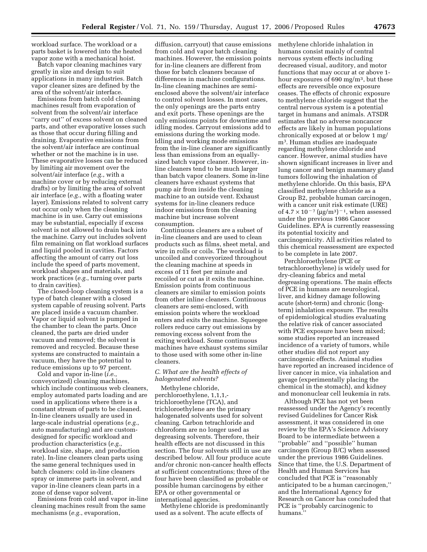workload surface. The workload or a parts basket is lowered into the heated vapor zone with a mechanical hoist.

Batch vapor cleaning machines vary greatly in size and design to suit applications in many industries. Batch vapor cleaner sizes are defined by the area of the solvent/air interface.

Emissions from batch cold cleaning machines result from evaporation of solvent from the solvent/air interface ''carry out'' of excess solvent on cleaned parts, and other evaporative losses such as those that occur during filling and draining. Evaporative emissions from the solvent/air interface are continual whether or not the machine is in use. These evaporative losses can be reduced by limiting air movement over the solvent/air interface (*e.g.*, with a machine cover or by reducing external drafts) or by limiting the area of solvent air interface (*e.g.*, with a floating water layer). Emissions related to solvent carry out occur only when the cleaning machine is in use. Carry out emissions may be substantial, especially if excess solvent is not allowed to drain back into the machine. Carry out includes solvent film remaining on flat workload surfaces and liquid pooled in cavities. Factors affecting the amount of carry out loss include the speed of parts movement, workload shapes and materials, and work practices (*e.g.*, turning over parts to drain cavities).

The closed-loop cleaning system is a type of batch cleaner with a closed system capable of reusing solvent. Parts are placed inside a vacuum chamber. Vapor or liquid solvent is pumped in the chamber to clean the parts. Once cleaned, the parts are dried under vacuum and removed; the solvent is removed and recycled. Because these systems are constructed to maintain a vacuum, they have the potential to reduce emissions up to 97 percent.

Cold and vapor in-line (*i.e.*, conveyorized) cleaning machines, which include continuous web cleaners, employ automated parts loading and are used in applications where there is a constant stream of parts to be cleaned. In-line cleaners usually are used in large-scale industrial operations (*e.g.*, auto manufacturing) and are customdesigned for specific workload and production characteristics (*e.g.*, workload size, shape, and production rate). In-line cleaners clean parts using the same general techniques used in batch cleaners: cold in-line cleaners spray or immerse parts in solvent, and vapor in-line cleaners clean parts in a zone of dense vapor solvent.

Emissions from cold and vapor in-line cleaning machines result from the same mechanisms (*e.g.*, evaporation,

diffusion, carryout) that cause emissions from cold and vapor batch cleaning machines. However, the emission points for in-line cleaners are different from those for batch cleaners because of differences in machine configurations. In-line cleaning machines are semienclosed above the solvent/air interface to control solvent losses. In most cases, the only openings are the parts entry and exit ports. These openings are the only emissions points for downtime and idling modes. Carryout emissions add to emissions during the working mode. Idling and working mode emissions from the in-line cleaner are significantly less than emissions from an equallysized batch vapor cleaner. However, inline cleaners tend to be much larger than batch vapor cleaners. Some in-line cleaners have exhaust systems that pump air from inside the cleaning machine to an outside vent. Exhaust systems for in-line cleaners reduce indoor emissions from the cleaning machine but increase solvent consumption.

Continuous cleaners are a subset of in-line cleaners and are used to clean products such as films, sheet metal, and wire in rolls or coils. The workload is uncoiled and conveyorized throughout the cleaning machine at speeds in excess of 11 feet per minute and recoiled or cut as it exits the machine. Emission points from continuous cleaners are similar to emission points from other inline cleaners. Continuous cleaners are semi-enclosed, with emission points where the workload enters and exits the machine. Squeegee rollers reduce carry out emissions by removing excess solvent from the exiting workload. Some continuous machines have exhaust systems similar to those used with some other in-line cleaners.

# *C. What are the health effects of halogenated solvents?*

Methylene chloride, perchloroethylene, 1,1,1, trichloroethylene (TCA), and trichloroethylene are the primary halogenated solvents used for solvent cleaning. Carbon tetrachloride and chloroform are no longer used as degreasing solvents. Therefore, their health effects are not discussed in this section. The four solvents still in use are described below. All four produce acute and/or chronic non-cancer health effects at sufficient concentrations; three of the four have been classified as probable or possible human carcinogens by either EPA or other governmental or international agencies.

Methylene chloride is predominantly used as a solvent. The acute effects of

methylene chloride inhalation in humans consist mainly of central nervous system effects including decreased visual, auditory, and motor functions that may occur at or above 1 hour exposures of 690 mg/m3, but these effects are reversible once exposure ceases. The effects of chronic exposure to methylene chloride suggest that the central nervous system is a potential target in humans and animals. ATSDR estimates that no adverse noncancer effects are likely in human populations chronically exposed at or below 1 mg/ m3. Human studies are inadequate regarding methylene chloride and cancer. However, animal studies have shown significant increases in liver and lung cancer and benign mammary gland tumors following the inhalation of methylene chloride. On this basis, EPA classified methylene chloride as a Group B2, probable human carcinogen, with a cancer unit risk estimate (URE) of  $4.7 \times 10^{-7}$  (µg/m<sup>3</sup>)<sup>-1</sup>, when assessed under the previous 1986 Cancer Guidelines. EPA is currently reassessing its potential toxicity and carcinogenicity. All activities related to this chemical reassessment are expected to be complete in late 2007.

Perchloroethylene (PCE or tetrachloroethylene) is widely used for dry-cleaning fabrics and metal degreasing operations. The main effects of PCE in humans are neurological, liver, and kidney damage following acute (short-term) and chronic (longterm) inhalation exposure. The results of epidemiological studies evaluating the relative risk of cancer associated with PCE exposure have been mixed; some studies reported an increased incidence of a variety of tumors, while other studies did not report any carcinogenic effects. Animal studies have reported an increased incidence of liver cancer in mice, via inhalation and gavage (experimentally placing the chemical in the stomach), and kidney and mononuclear cell leukemia in rats.

Although PCE has not yet been reassessed under the Agency's recently revised Guidelines for Cancer Risk assessment, it was considered in one review by the EPA's Science Advisory Board to be intermediate between a ''probable'' and ''possible'' human carcinogen (Group B/C) when assessed under the previous 1986 Guidelines. Since that time, the U.S. Department of Health and Human Services has concluded that PCE is ''reasonably anticipated to be a human carcinogen,'' and the International Agency for Research on Cancer has concluded that PCE is ''probably carcinogenic to humans.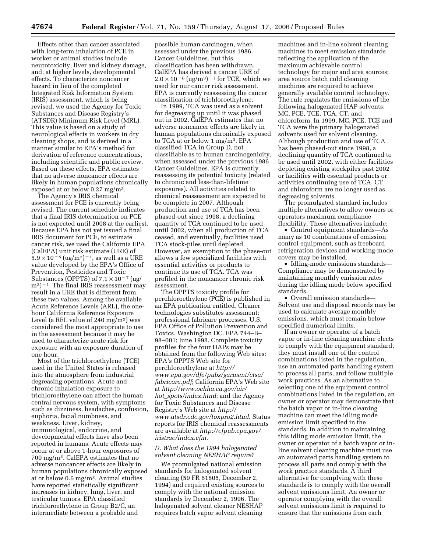Effects other than cancer associated with long-term inhalation of PCE in worker or animal studies include neurotoxicity, liver and kidney damage, and, at higher levels, developmental effects. To characterize noncancer hazard in lieu of the completed Integrated Risk Information System (IRIS) assessment, which is being revised, we used the Agency for Toxic Substances and Disease Registry's (ATSDR) Minimum Risk Level (MRL). This value is based on a study of neurological effects in workers in dry cleaning shops, and is derived in a manner similar to EPA's method for derivation of reference concentrations, including scientific and public review. Based on these effects, EPA estimates that no adverse noncancer effects are likely in human populations chronically exposed at or below 0.27 mg/m3.

The Agency's IRIS chemical assessment for PCE is currently being revised. The current schedule indicates that a final IRIS determination on PCE is not expected until 2008 at the earliest. Because EPA has not yet issued a final IRIS document for PCE, to estimate cancer risk, we used the California EPA (CalEPA) unit risk estimate (URE) of  $5.9 \times 10^{-6}$  (ug/m<sup>3</sup>)<sup>-1</sup>, as well as a URE value developed by the EPA's Office of Prevention, Pesticides and Toxic Substances (OPPTS) of  $7.1 \times 10^{-7}$  (ug/  $(m<sup>3</sup>)<sup>-1</sup>$ . The final IRIS reassessment may result in a URE that is different from these two values. Among the available Acute Reference Levels (ARL), the onehour California Reference Exposure Level (a REL value of  $240 \text{ mg/m}^3$ ) was considered the most appropriate to use in the assessment because it may be used to characterize acute risk for exposure with an exposure duration of one hour.

Most of the trichloroethylene (TCE) used in the United States is released into the atmosphere from industrial degreasing operations. Acute and chronic inhalation exposure to trichloroethylene can affect the human central nervous system, with symptoms such as dizziness, headaches, confusion, euphoria, facial numbness, and weakness. Liver, kidney, immunological, endocrine, and developmental effects have also been reported in humans. Acute effects may occur at or above 1-hour exposures of 700 mg/m3. CalEPA estimates that no adverse noncancer effects are likely in human populations chronically exposed at or below 0.6 mg/m3. Animal studies have reported statistically significant increases in kidney, lung, liver, and testicular tumors. EPA classified trichloroethylene in Group B2/C, an intermediate between a probable and

possible human carcinogen, when assessed under the previous 1986 Cancer Guidelines, but this classification has been withdrawn. CalEPA has derived a cancer URE of  $2.0 \times 10^{-6}$  (ug/m<sup>3</sup>)<sup>-1</sup> for TCE, which we used for our cancer risk assessment. EPA is currently reassessing the cancer classification of trichloroethylene.

In 1999, TCA was used as a solvent for degreasing up until it was phased out in 2002. CalEPA estimates that no adverse noncancer effects are likely in human populations chronically exposed to TCA at or below 1 mg/m3. EPA classified TCA in Group D, not classifiable as to human carcinogenicity, when assessed under the previous 1986 Cancer Guidelines. EPA is currently reassessing its potential toxicity (related to chronic and less-than-lifetime exposures). All activities related to chemical reassessment are expected to be complete in 2007. Although production and use of TCA has been phased-out since 1998, a declining quantity of TCA continued to be used until 2002, when all production of TCA ceased, and eventually, facilities used TCA stock-piles until depleted. However, an exemption to the phase-out allows a few specialized facilities with essential activities or products to continue its use of TCA. TCA was profiled in the noncancer chronic risk assessment.

The OPPTS toxicity profile for perchloroethylene (PCE) is published in an EPA publication entitled, Cleaner technologies substitutes assessment: professional fabricare processes. U.S. EPA Office of Pollution Prevention and Toxics, Washington DC. EPA 744–B– 98–001; June 1998. Complete toxicity profiles for the four HAPs may be obtained from the following Web sites: EPA's OPPTS Web site for perchloroethylene at *http:// www.epa.gov/dfe/pubs/garment/ctsa/ fabricare.pdf*; California EPA's Web site at *http://www.oehha.ca.gov/air/ hot*\_*spots/index.html*; and the Agency for Toxic Substances and Disease Registry's Web site at *http:// www.atsdr.cdc.gov/toxpro2.html*. Status reports for IRIS chemical reassessments are available at *http://cfpub.epa.gov/ iristrac/index.cfm.* 

#### *D. What does the 1994 halogenated solvent cleaning NESHAP require?*

We promulgated national emission standards for halogenated solvent cleaning (59 FR 61805, December 2, 1994) and required existing sources to comply with the national emission standards by December 2, 1996. The halogenated solvent cleaner NESHAP requires batch vapor solvent cleaning

machines and in-line solvent cleaning machines to meet emission standards reflecting the application of the maximum achievable control technology for major and area sources; area source batch cold cleaning machines are required to achieve generally available control technology. The rule regulates the emissions of the following halogenated HAP solvents: MC, PCE, TCE, TCA, CT, and chloroform. In 1999, MC, PCE, TCE and TCA were the primary halogenated solvents used for solvent cleaning. Although production and use of TCA has been phased-out since 1998, a declining quantity of TCA continued to be used until 2002, with either facilities depleting existing stockpiles past 2002 or facilities with essential products or activities continuing use of TCA. CT and chloroform are no longer used as degreasing solvents.

The promulgated standard includes multiple alternatives to allow owners or operators maximum compliance flexibility. These alternatives include:

• Control equipment standards—As many as 10 combinations of emission control equipment, such as freeboard refrigeration devices and working-mode covers may be installed.

• Idling-mode emissions standards— Compliance may be demonstrated by maintaining monthly emission rates during the idling mode below specified standards.

• Overall emission standards— Solvent use and disposal records may be used to calculate average monthly emissions, which must remain below specified numerical limits.

If an owner or operator of a batch vapor or in-line cleaning machine elects to comply with the equipment standard, they must install one of the control combinations listed in the regulation, use an automated parts handling system to process all parts, and follow multiple work practices. As an alternative to selecting one of the equipment control combinations listed in the regulation, an owner or operator may demonstrate that the batch vapor or in-line cleaning machine can meet the idling mode emission limit specified in the standards. In addition to maintaining this idling mode emission limit, the owner or operator of a batch vapor or inline solvent cleaning machine must use an automated parts handling system to process all parts and comply with the work practice standards. A third alternative for complying with these standards is to comply with the overall solvent emissions limit. An owner or operator complying with the overall solvent emissions limit is required to ensure that the emissions from each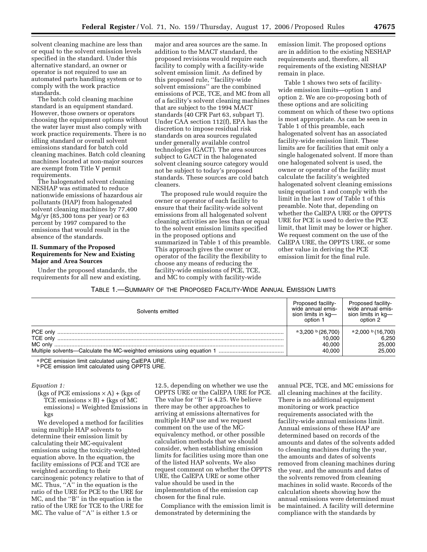solvent cleaning machine are less than or equal to the solvent emission levels specified in the standard. Under this alternative standard, an owner or operator is not required to use an automated parts handling system or to comply with the work practice standards.

The batch cold cleaning machine standard is an equipment standard. However, those owners or operators choosing the equipment options without the water layer must also comply with work practice requirements. There is no idling standard or overall solvent emissions standard for batch cold cleaning machines. Batch cold cleaning machines located at non-major sources are exempt from Title V permit requirements.

The halogenated solvent cleaning NESHAP was estimated to reduce nationwide emissions of hazardous air pollutants (HAP) from halogenated solvent cleaning machines by 77,400 Mg/yr (85,300 tons per year) or 63 percent by 1997 compared to the emissions that would result in the absence of the standards.

# **II. Summary of the Proposed Requirements for New and Existing Major and Area Sources**

Under the proposed standards, the requirements for all new and existing,

major and area sources are the same. In addition to the MACT standard, the proposed revisions would require each facility to comply with a facility-wide solvent emission limit. As defined by this proposed rule, ''facility-wide solvent emissions'' are the combined emissions of PCE, TCE, and MC from all of a facility's solvent cleaning machines that are subject to the 1994 MACT standards (40 CFR Part 63, subpart T). Under CAA section 112(f), EPA has the discretion to impose residual risk standards on area sources regulated under generally available control technologies (GACT). The area sources subject to GACT in the halogenated solvent cleaning source category would not be subject to today's proposed standards. These sources are cold batch cleaners.

The proposed rule would require the owner or operator of each facility to ensure that their facility-wide solvent emissions from all halogenated solvent cleaning activities are less than or equal to the solvent emission limits specified in the proposed options and summarized in Table 1 of this preamble. This approach gives the owner or operator of the facility the flexibility to choose any means of reducing the facility-wide emissions of PCE, TCE, and MC to comply with facility-wide

emission limit. The proposed options are in addition to the existing NESHAP requirements and, therefore, all requirements of the existing NESHAP remain in place.

Table 1 shows two sets of facilitywide emission limits—option 1 and option 2. We are co-proposing both of these options and are soliciting comment on which of these two options is most appropriate. As can be seen in Table 1 of this preamble, each halogenated solvent has an associated facility-wide emission limit. These limits are for facilities that emit only a single halogenated solvent. If more than one halogenated solvent is used, the owner or operator of the facility must calculate the facility's weighted halogenated solvent cleaning emissions using equation 1 and comply with the limit in the last row of Table 1 of this preamble. Note that, depending on whether the CalEPA URE or the OPPTS URE for PCE is used to derive the PCE limit, that limit may be lower or higher. We request comment on the use of the CalEPA URE, the OPPTS URE, or some other value in deriving the PCE emission limit for the final rule.

#### TABLE 1.—SUMMARY OF THE PROPOSED FACILITY-WIDE ANNUAL EMISSION LIMITS

| Solvents emitted                | <b>Proposed facility-</b><br>wide annual emis-<br>sion limits in kg-<br>option 1 | <b>Proposed facility-</b><br>wide annual emis-<br>sion limits in kg-<br>option 2 |
|---------------------------------|----------------------------------------------------------------------------------|----------------------------------------------------------------------------------|
| PCE only<br>TCE only<br>MC only | $a$ 3,200 $b$ (26,700)<br>10.000<br>40.000<br>40.000                             | $a$ 2,000 $b$ (16,700)<br>6,250<br>25,000<br>25,000                              |

a PCE emission limit calculated using CalEPA URE.<br><sup>b</sup> PCE emission limit calculated using OPPTS URE.

#### *Equation 1:*

(kgs of PCE emissions  $\times$  A) + (kgs of TCE emissions  $\times$  B) + (kgs of MC emissions) = Weighted Emissions in kgs

We developed a method for facilities using multiple HAP solvents to determine their emission limit by calculating their MC-equivalent emissions using the toxicity-weighted equation above. In the equation, the facility emissions of PCE and TCE are weighted according to their carcinogenic potency relative to that of MC. Thus, ''A'' in the equation is the ratio of the URE for PCE to the URE for MC, and the ''B'' in the equation is the ratio of the URE for TCE to the URE for MC. The value of ''A'' is either 1.5 or

12.5, depending on whether we use the OPPTS URE or the CalEPA URE for PCE. The value for "B" is 4.25. We believe there may be other approaches to arriving at emissions alternatives for multiple HAP use and we request comment on the use of the MCequivalency method, or other possible calculation methods that we should consider, when establishing emission limits for facilities using more than one of the listed HAP solvents. We also request comment on whether the OPPTS URE, the CalEPA URE or some other value should be used in the implementation of the emission cap chosen for the final rule.

Compliance with the emission limit is demonstrated by determining the

annual PCE, TCE, and MC emissions for all cleaning machines at the facility. There is no additional equipment monitoring or work practice requirements associated with the facility-wide annual emissions limit. Annual emissions of these HAP are determined based on records of the amounts and dates of the solvents added to cleaning machines during the year, the amounts and dates of solvents removed from cleaning machines during the year, and the amounts and dates of the solvents removed from cleaning machines in solid waste. Records of the calculation sheets showing how the annual emissions were determined must be maintained. A facility will determine compliance with the standards by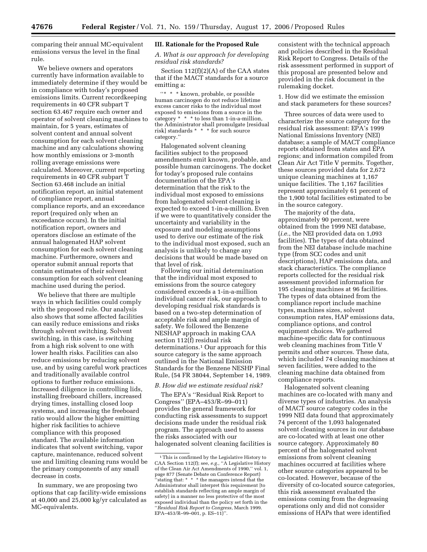comparing their annual MC-equivalent emissions versus the level in the final rule.

We believe owners and operators currently have information available to immediately determine if they would be in compliance with today's proposed emissions limits. Current recordkeeping requirements in 40 CFR subpart T section 63.467 require each owner and operator of solvent cleaning machines to maintain, for 5 years, estimates of solvent content and annual solvent consumption for each solvent cleaning machine and any calculations showing how monthly emissions or 3-month rolling average emissions were calculated. Moreover, current reporting requirements in 40 CFR subpart T Section 63.468 include an initial notification report, an initial statement of compliance report, annual compliance reports, and an exceedance report (required only when an exceedance occurs). In the initial notification report, owners and operators disclose an estimate of the annual halogenated HAP solvent consumption for each solvent cleaning machine. Furthermore, owners and operator submit annual reports that contain estimates of their solvent consumption for each solvent cleaning machine used during the period.

We believe that there are multiple ways in which facilities could comply with the proposed rule. Our analysis also shows that some affected facilities can easily reduce emissions and risks through solvent switching. Solvent switching, in this case, is switching from a high risk solvent to one with lower health risks. Facilities can also reduce emissions by reducing solvent use, and by using careful work practices and traditionally available control options to further reduce emissions. Increased diligence in controlling lids, installing freeboard chillers, increased drying times, installing closed loop systems, and increasing the freeboard ratio would allow the higher emitting higher risk facilities to achieve compliance with this proposed standard. The available information indicates that solvent switching, vapor capture, maintenance, reduced solvent use and limiting cleaning runs would be the primary components of any small decrease in costs.

In summary, we are proposing two options that cap facility-wide emissions at 40,000 and 25,000 kg/yr calculated as MC-equivalents.

## **III. Rationale for the Proposed Rule**

*A. What is our approach for developing residual risk standards?* 

Section 112(f)(2)(A) of the CAA states that if the MACT standards for a source emitting a:

''\* \* \* known, probable, or possible human carcinogen do not reduce lifetime excess cancer risks to the individual most exposed to emissions from a source in the category  $* * *$  to less than 1-in-a-million, the Administrator shall promulgate [residual risk] standards \* \* \* for such source category.''

Halogenated solvent cleaning facilities subject to the proposed amendments emit known, probable, and possible human carcinogens. The docket for today's proposed rule contains documentation of the EPA's determination that the risk to the individual most exposed to emissions from halogenated solvent cleaning is expected to exceed 1-in-a-million. Even if we were to quantitatively consider the uncertainty and variability in the exposure and modeling assumptions used to derive our estimate of the risk to the individual most exposed, such an analysis is unlikely to change any decisions that would be made based on that level of risk.

Following our initial determination that the individual most exposed to emissions from the source category considered exceeds a 1-in-a-million individual cancer risk, our approach to developing residual risk standards is based on a two-step determination of acceptable risk and ample margin of safety. We followed the Benzene NESHAP approach in making CAA section 112(f) residual risk determinations.1 Our approach for this source category is the same approach outlined in the National Emission Standards for the Benzene NESHP Final Rule, (54 FR 38044, September 14, 1989.

## *B. How did we estimate residual risk?*

The EPA's ''Residual Risk Report to Congress'' (EPA–453/R–99–011) provides the general framework for conducting risk assessments to support decisions made under the residual risk program. The approach used to assess the risks associated with our halogenated solvent cleaning facilities is

consistent with the technical approach and policies described in the Residual Risk Report to Congress. Details of the risk assessment performed in support of this proposal are presented below and provided in the risk document in the rulemaking docket.

1. How did we estimate the emission and stack parameters for these sources?

Three sources of data were used to characterize the source category for the residual risk assessment: EPA's 1999 National Emissions Inventory (NEI) database; a sample of MACT compliance reports obtained from states and EPA regions; and information compiled from Clean Air Act Title V permits. Together, these sources provided data for 2,672 unique cleaning machines at 1,167 unique facilities. The 1,167 facilities represent approximately 61 percent of the 1,900 total facilities estimated to be in the source category.

The majority of the data, approximately 90 percent, were obtained from the 1999 NEI database, (*i.e.*, the NEI provided data on 1,093 facilities). The types of data obtained from the NEI database include machine type (from SCC codes and unit descriptions), HAP emissions data, and stack characteristics. The compliance reports collected for the residual risk assessment provided information for 195 cleaning machines at 96 facilities. The types of data obtained from the compliance report include machine types, machines sizes, solvent consumption rates, HAP emissions data, compliance options, and control equipment choices. We gathered machine-specific data for continuous web cleaning machines from Title V permits and other sources. These data, which included 74 cleaning machines at seven facilities, were added to the cleaning machine data obtained from compliance reports.

Halogenated solvent cleaning machines are co-located with many and diverse types of industries. An analysis of MACT source category codes in the 1999 NEI data found that approximately 74 percent of the 1,093 halogenated solvent cleaning sources in our database are co-located with at least one other source category. Approximately 80 percent of the halogenated solvent emissions from solvent cleaning machines occurred at facilities where other source categories appeared to be co-located. However, because of the diversity of co-located source categories, this risk assessment evaluated the emissions coming from the degreasing operations only and did not consider emissions of HAPs that were identified

<sup>1</sup>This is confirmed by the Legislative History to CAA Section 112(f); see, *e.g.*, ''A Legislative History of the Clean Air Act Amendments of 1990,'' vol. 1, page 877 (Senate Debate on Conference Report) ''stating that: \* \* \* the managers intend that the Administrator shall interpret this requirement [to establish standards reflecting an ample margin of safety] in a manner no less protective of the most exposed individual than the policy set forth in the ''*Residual Risk Report to Congress*, March 1999.  $EPA-453/R-99-001$ , p.  $ES-11$ )".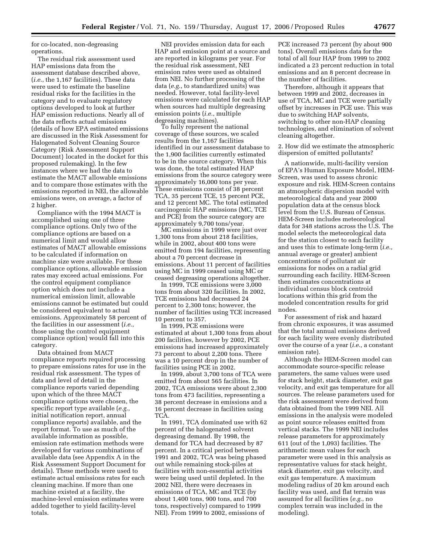for co-located, non-degreasing operations.

The residual risk assessment used HAP emissions data from the assessment database described above, (*i.e.*, the 1,167 facilities). These data were used to estimate the baseline residual risks for the facilities in the category and to evaluate regulatory options developed to look at further HAP emission reductions. Nearly all of the data reflects actual emissions (details of how EPA estimated emissions are discussed in the Risk Assessment for Halogenated Solvent Cleaning Source Category {Risk Assessment Support Document} located in the docket for this proposed rulemaking). In the few instances where we had the data to estimate the MACT allowable emissions and to compare those estimates with the emissions reported in NEI, the allowable emissions were, on average, a factor of 2 higher.

Compliance with the 1994 MACT is accomplished using one of three compliance options. Only two of the compliance options are based on a numerical limit and would allow estimates of MACT allowable emissions to be calculated if information on machine size were available. For these compliance options, allowable emission rates may exceed actual emissions. For the control equipment compliance option which does not include a numerical emission limit, allowable emissions cannot be estimated but could be considered equivalent to actual emissions. Approximately 58 percent of the facilities in our assessment (*i.e.*, those using the control equipment compliance option) would fall into this category.

Data obtained from MACT compliance reports required processing to prepare emissions rates for use in the residual risk assessment. The types of data and level of detail in the compliance reports varied depending upon which of the three MACT compliance options were chosen, the specific report type available (*e.g.*, initial notification report, annual compliance reports) available, and the report format. To use as much of the available information as possible, emission rate estimation methods were developed for various combinations of available data (see Appendix A in the Risk Assessment Support Document for details). These methods were used to estimate actual emissions rates for each cleaning machine. If more than one machine existed at a facility, the machine-level emission estimates were added together to yield facility-level totals.

NEI provides emission data for each HAP and emission point at a source and are reported in kilograms per year. For the residual risk assessment, NEI emission rates were used as obtained from NEI. No further processing of the data (*e.g.*, to standardized units) was needed. However, total facility-level emissions were calculated for each HAP when sources had multiple degreasing emission points (*i.e.*, multiple degreasing machines).

To fully represent the national coverage of these sources, we scaled results from the 1,167 facilities identified in our assessment database to the 1,900 facilities currently estimated to be in the source category. When this was done, the total estimated HAP emissions from the source category were approximately 16,000 tons per year. These emissions consist of 38 percent TCA, 35 percent TCE, 15 percent PCE, and 12 percent MC. The total estimated carcinogenic HAP emissions (MC, TCE and PCE) from the source category are approximately 9,700 tons/year.

MC emissions in 1999 were just over 1,300 tons from about 218 facilities, while in 2002, about 400 tons were emitted from 194 facilities, representing about a 70 percent decrease in emissions. About 11 percent of facilities using MC in 1999 ceased using MC or ceased degreasing operations altogether.

In 1999, TCE emissions were 3,000 tons from about 320 facilities. In 2002, TCE emissions had decreased 24 percent to 2,300 tons; however, the number of facilities using TCE increased 10 percent to 357.

In 1999, PCE emissions were estimated at about 1,300 tons from about 200 facilities, however by 2002, PCE emissions had increased approximately 73 percent to about 2,200 tons. There was a 10 percent drop in the number of facilities using PCE in 2002.

In 1999, about 3,700 tons of TCA were emitted from about 565 facilities. In 2002, TCA emissions were about 2,300 tons from 473 facilities, representing a 38 percent decrease in emissions and a 16 percent decrease in facilities using TCA.

In 1991, TCA dominated use with 62 percent of the halogenated solvent degreasing demand. By 1998, the demand for TCA had decreased by 87 percent. In a critical period between 1991 and 2002, TCA was being phased out while remaining stock-piles at facilities with non-essential activities were being used until depleted. In the 2002 NEI, there were decreases in emissions of TCA, MC and TCE (by about 1,400 tons, 900 tons, and 700 tons, respectively) compared to 1999 NEI). From 1999 to 2002, emissions of

PCE increased 73 percent (by about 900 tons). Overall emissions data for the total of all four HAP from 1999 to 2002 indicated a 23 percent reduction in total emissions and an 8 percent decrease in the number of facilities.

Therefore, although it appears that between 1999 and 2002, decreases in use of TCA, MC and TCE were partially offset by increases in PCE use. This was due to switching HAP solvents, switching to other non-HAP cleaning technologies, and elimination of solvent cleaning altogether.

2. How did we estimate the atmospheric dispersion of emitted pollutants?

A nationwide, multi-facility version of EPA's Human Exposure Model, HEM-Screen, was used to assess chronic exposure and risk. HEM-Screen contains an atmospheric dispersion model with meteorological data and year 2000 population data at the census block level from the U.S. Bureau of Census. HEM-Screen includes meteorological data for 348 stations across the U.S. The model selects the meteorological data for the station closest to each facility and uses this to estimate long-term (*i.e.,*  annual average or greater) ambient concentrations of pollutant air emissions for nodes on a radial grid surrounding each facility. HEM-Screen then estimates concentrations at individual census block centroid locations within this grid from the modeled concentration results for grid nodes.

For assessment of risk and hazard from chronic exposures, it was assumed that the total annual emissions derived for each facility were evenly distributed over the course of a year (*i.e.,* a constant emission rate).

Although the HEM-Screen model can accommodate source-specific release parameters, the same values were used for stack height, stack diameter, exit gas velocity, and exit gas temperature for all sources. The release parameters used for the risk assessment were derived from data obtained from the 1999 NEI. All emissions in the analysis were modeled as point source releases emitted from vertical stacks. The 1999 NEI includes release parameters for approximately 611 (out of the 1,093) facilities. The arithmetic mean values for each parameter were used in this analysis as representative values for stack height, stack diameter, exit gas velocity, and exit gas temperature. A maximum modeling radius of 20 km around each facility was used, and flat terrain was assumed for all facilities (*e.g.*, no complex terrain was included in the modeling).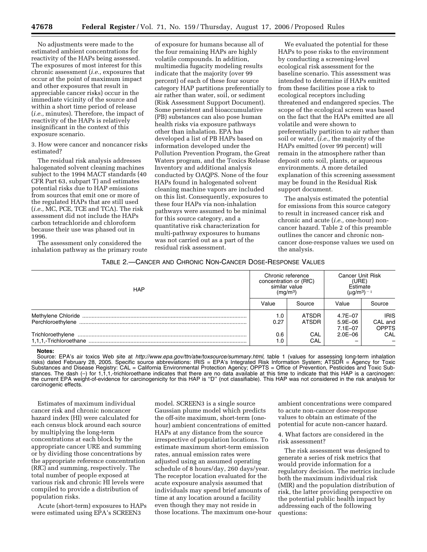No adjustments were made to the estimated ambient concentrations for reactivity of the HAPs being assessed. The exposures of most interest for this chronic assessment (*i.e.,* exposures that occur at the point of maximum impact and other exposures that result in appreciable cancer risks) occur in the immediate vicinity of the source and within a short time period of release (*i.e.,* minutes). Therefore, the impact of reactivity of the HAPs is relatively insignificant in the context of this exposure scenario.

3. How were cancer and noncancer risks estimated?

The residual risk analysis addresses halogenated solvent cleaning machines subject to the 1994 MACT standards (40 CFR Part 63, subpart T) and estimates potential risks due to HAP emissions from sources that emit one or more of the regulated HAPs that are still used (*i.e.,* MC, PCE, TCE and TCA). The risk assessment did not include the HAPs carbon tetrachloride and chloroform because their use was phased out in 1996.

The assessment only considered the inhalation pathway as the primary route

of exposure for humans because all of the four remaining HAPs are highly volatile compounds. In addition, multimedia fugacity modeling results indicate that the majority (over 99 percent) of each of these four source category HAP partitions preferentially to air rather than water, soil, or sediment (Risk Assessment Support Document). Some persistent and bioaccumulative (PB) substances can also pose human health risks via exposure pathways other than inhalation. EPA has developed a list of PB HAPs based on information developed under the Pollution Prevention Program, the Great Waters program, and the Toxics Release Inventory and additional analysis conducted by OAQPS. None of the four HAPs found in halogenated solvent cleaning machine vapors are included on this list. Consequently, exposures to these four HAPs via non-inhalation pathways were assumed to be minimal for this source category, and a quantitative risk characterization for multi-pathway exposures to humans was not carried out as a part of the residual risk assessment.

We evaluated the potential for these HAPs to pose risks to the environment by conducting a screening-level ecological risk assessment for the baseline scenario. This assessment was intended to determine if HAPs emitted from these facilities pose a risk to ecological receptors including threatened and endangered species. The scope of the ecological screen was based on the fact that the HAPs emitted are all volatile and were shown to preferentially partition to air rather than soil or water, (*i.e.,* the majority of the HAPs emitted (over 99 percent) will remain in the atmosphere rather than deposit onto soil, plants, or aqueous environments. A more detailed explanation of this screening assessment may be found in the Residual Risk support document.

The analysis estimated the potential for emissions from this source category to result in increased cancer risk and chronic and acute (*i.e.,* one-hour) noncancer hazard. Table 2 of this preamble outlines the cancer and chronic noncancer dose-response values we used on the analysis.

# TABLE 2.—CANCER AND CHRONIC NON-CANCER DOSE-RESPONSE VALUES

| <b>HAP</b>        | Chronic reference<br>concentration or (RfC)<br>similar value<br>(mg/m <sup>3</sup> ) |                | <b>Cancer Unit Risk</b><br>(URE)<br>Estimate<br>$(µq/m^3)$ <sup>-1</sup> |                                        |
|-------------------|--------------------------------------------------------------------------------------|----------------|--------------------------------------------------------------------------|----------------------------------------|
|                   | Value                                                                                | Source         | Value                                                                    | Source                                 |
| Perchloroethylene | 1.0 <sub>1</sub><br>0.27                                                             | ATSDR<br>ATSDR | 4.7E-07<br>$5.9E - 06$<br>$7.1E - 07$                                    | <b>IRIS</b><br>CAL and<br><b>OPPTS</b> |
|                   | 0.6                                                                                  | CAL<br>CAL     | $2.0E - 06$                                                              | CAL                                    |

#### **Notes:**

Source: EPA's air toxics Web site at *http://www.epa.gov/ttn/atw/toxsource/summary.html,* table 1 (values for assessing long-term inhalation risks) dated February 28, 2005. Specific source abbreviations: IRIS = EPA's Integrated Risk Information System; ATSDR = Agency for Toxic Substances and Disease Registry: CAL = California Environmental Protection Agency; OPPTS = Office of Prevention, Pesticides and Toxic Substances. The dash (-) for 1,1,1,-trichloroethane indicates that there are no data available at this time to indicate that this HAP is a carcinogen: the current EPA weight-of-evidence for carcinogenicity for this HAP is ''D'' (not classifiable). This HAP was not considered in the risk analysis for carcinogenic effects.

Estimates of maximum individual cancer risk and chronic noncancer hazard index (HI) were calculated for each census block around each source by multiplying the long-term concentrations at each block by the appropriate cancer URE and summing or by dividing those concentrations by the appropriate reference concentration (RfC) and summing, respectively. The total number of people exposed at various risk and chronic HI levels were compiled to provide a distribution of population risks.

Acute (short-term) exposures to HAPs were estimated using EPA's SCREEN3

model. SCREEN3 is a single source Gaussian plume model which predicts the off-site maximum, short-term (onehour) ambient concentrations of emitted HAPs at any distance from the source irrespective of population locations. To estimate maximum short-term emission rates, annual emission rates were adjusted using an assumed operating schedule of 8 hours/day, 260 days/year. The receptor location evaluated for the acute exposure analysis assumed that individuals may spend brief amounts of time at any location around a facility even though they may not reside in those locations. The maximum one-hour

ambient concentrations were compared to acute non-cancer dose-response values to obtain an estimate of the potential for acute non-cancer hazard.

4. What factors are considered in the risk assessment?

The risk assessment was designed to generate a series of risk metrics that would provide information for a regulatory decision. The metrics include both the maximum individual risk (MIR) and the population distribution of risk, the latter providing perspective on the potential public health impact by addressing each of the following questions: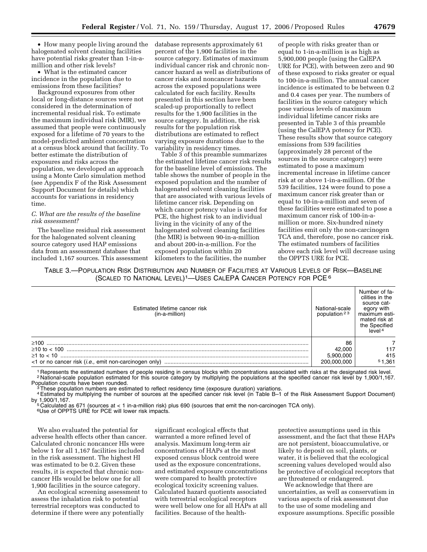• How many people living around the halogenated solvent cleaning facilities have potential risks greater than 1-in-amillion and other risk levels?

• What is the estimated cancer incidence in the population due to emissions from these facilities?

Background exposures from other local or long-distance sources were not considered in the determination of incremental residual risk. To estimate the maximum individual risk (MIR), we assumed that people were continuously exposed for a lifetime of 70 years to the model-predicted ambient concentration at a census block around that facility. To better estimate the distribution of exposures and risks across the population, we developed an approach using a Monte Carlo simulation method (see Appendix F of the Risk Assessment Support Document for details) which accounts for variations in residency time.

#### *C. What are the results of the baseline risk assessment?*

The baseline residual risk assessment for the halogenated solvent cleaning source category used HAP emissions data from an assessment database that included 1,167 sources. This assessment

database represents approximately 61 percent of the 1,900 facilities in the source category. Estimates of maximum individual cancer risk and chronic noncancer hazard as well as distributions of cancer risks and noncancer hazards across the exposed populations were calculated for each facility. Results presented in this section have been scaled-up proportionally to reflect results for the 1,900 facilities in the source category. In addition, the risk results for the population risk distributions are estimated to reflect varying exposure durations due to the variability in residency times.

Table 3 of this preamble summarizes the estimated lifetime cancer risk results for the baseline level of emissions. The table shows the number of people in the exposed population and the number of halogenated solvent cleaning facilities that are associated with various levels of lifetime cancer risk. Depending on which cancer potency value is used for PCE, the highest risk to an individual living in the vicinity of any of the halogenated solvent cleaning facilities (the MIR) is between 90-in-a-million and about 200-in-a-million. For the exposed population within 20 kilometers to the facilities, the number

of people with risks greater than or equal to 1-in-a-million is as high as 5,900,000 people (using the CalEPA URE for PCE), with between zero and 90 of these exposed to risks greater or equal to 100-in-a-million. The annual cancer incidence is estimated to be between 0.2 and 0.4 cases per year. The numbers of facilities in the source category which pose various levels of maximum individual lifetime cancer risks are presented in Table 3 of this preamble (using the CalEPA potency for PCE). These results show that source category emissions from 539 facilities (approximately 28 percent of the sources in the source category) were estimated to pose a maximum incremental increase in lifetime cancer risk at or above 1-in-a-million. Of the 539 facilities, 124 were found to pose a maximum cancer risk greater than or equal to 10-in-a-million and seven of these facilities were estimated to pose a maximum cancer risk of 100-in-amillion or more. Six-hundred ninety facilities emit only the non-carcinogen TCA and, therefore, pose no cancer risk. The estimated numbers of facilities above each risk level will decrease using the OPPTS URE for PCE.

TABLE 3.—POPULATION RISK DISTRIBUTION AND NUMBER OF FACILITIES AT VARIOUS LEVELS OF RISK—BASELINE (SCALED TO NATIONAL LEVEL)1—USES CALEPA CANCER POTENCY FOR PCE 6

| Estimated lifetime cancer risk<br>(in-a-million) | National-scale<br>population $23$ | Number of fa-<br>cilities in the<br>source cat-<br>egory with<br>maximum esti-<br>mated risk at<br>the Specified<br>level <sup>4</sup> |
|--------------------------------------------------|-----------------------------------|----------------------------------------------------------------------------------------------------------------------------------------|
|                                                  | 86                                |                                                                                                                                        |
|                                                  | 42,000                            | 117                                                                                                                                    |
|                                                  | 5.900.000                         | 415                                                                                                                                    |
|                                                  | 200.000.000                       | 51.361                                                                                                                                 |

<sup>1</sup> Represents the estimated numbers of people residing in census blocks with concentrations associated with risks at the designated risk level.<br><sup>2</sup> National-scale population estimated for this source category by multiplyi

These population numbers are estimated to reflect residency time (exposure duration) variations.

4Estimated by multiplying the number of sources at the specified cancer risk level (in Table B–1 of the Risk Assessment Support Document) by 1,900/1,167.<br><sup>5</sup> Calculated as 671 (sources at < 1 in-a-million risk) plus 690 (sources that emit the non-carcinogen TCA only).

6Use of OPPTS URE for PCE will lower risk impacts.

We also evaluated the potential for adverse health effects other than cancer. Calculated chronic noncancer HIs were below 1 for all 1,167 facilities included in the risk assessment. The highest HI was estimated to be 0.2. Given these results, it is expected that chronic noncancer HIs would be below one for all 1,900 facilities in the source category.

An ecological screening assessment to assess the inhalation risk to potential terrestrial receptors was conducted to determine if there were any potentially

significant ecological effects that warranted a more refined level of analysis. Maximum long-term air concentrations of HAPs at the most exposed census block centroid were used as the exposure concentrations, and estimated exposure concentrations were compared to health protective ecological toxicity screening values. Calculated hazard quotients associated with terrestrial ecological receptors were well below one for all HAPs at all facilities. Because of the health-

protective assumptions used in this assessment, and the fact that these HAPs are not persistent, bioaccumulative, or likely to deposit on soil, plants, or water, it is believed that the ecological screening values developed would also be protective of ecological receptors that are threatened or endangered.

We acknowledge that there are uncertainties, as well as conservatism in various aspects of risk assessment due to the use of some modeling and exposure assumptions. Specific possible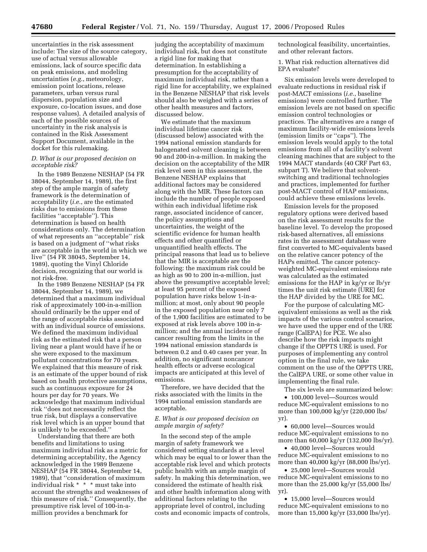uncertainties in the risk assessment include: The size of the source category, use of actual versus allowable emissions, lack of source specific data on peak emissions, and modeling uncertainties (*e.g.*, meteorology, emission point locations, release parameters, urban versus rural dispersion, population size and exposure, co-location issues, and dose response values). A detailed analysis of each of the possible sources of uncertainty in the risk analysis is contained in the Risk Assessment Support Document, available in the docket for this rulemaking.

#### *D. What is our proposed decision on acceptable risk?*

In the 1989 Benzene NESHAP (54 FR 38044, September 14, 1989), the first step of the ample margin of safety framework is the determination of acceptability (*i.e.*, are the estimated risks due to emissions from these facilities ''acceptable''). This determination is based on health considerations only. The determination of what represents an ''acceptable'' risk is based on a judgment of ''what risks are acceptable in the world in which we live'' (54 FR 38045, September 14, 1989), quoting the Vinyl Chloride decision, recognizing that our world is not risk-free.

In the 1989 Benzene NESHAP (54 FR 38044, September 14, 1989), we determined that a maximum individual risk of approximately 100-in-a-million should ordinarily be the upper end of the range of acceptable risks associated with an individual source of emissions. We defined the maximum individual risk as the estimated risk that a person living near a plant would have if he or she were exposed to the maximum pollutant concentrations for 70 years. We explained that this measure of risk is an estimate of the upper bound of risk based on health protective assumptions, such as continuous exposure for 24 hours per day for 70 years. We acknowledge that maximum individual risk ''does not necessarily reflect the true risk, but displays a conservative risk level which is an upper bound that is unlikely to be exceeded.''

Understanding that there are both benefits and limitations to using maximum individual risk as a metric for determining acceptability, the Agency acknowledged in the 1989 Benzene NESHAP (54 FR 38044, September 14, 1989), that ''consideration of maximum individual risk \* \* \* must take into account the strengths and weaknesses of this measure of risk.'' Consequently, the presumptive risk level of 100-in-amillion provides a benchmark for

judging the acceptability of maximum individual risk, but does not constitute a rigid line for making that determination. In establishing a presumption for the acceptability of maximum individual risk, rather than a rigid line for acceptability, we explained in the Benzene NESHAP that risk levels should also be weighed with a series of other health measures and factors, discussed below.

We estimate that the maximum individual lifetime cancer risk (discussed below) associated with the 1994 national emission standards for halogenated solvent cleaning is between 90 and 200-in-a-million. In making the decision on the acceptability of the MIR risk level seen in this assessment, the Benzene NESHAP explains that additional factors may be considered along with the MIR. These factors can include the number of people exposed within each individual lifetime risk range, associated incidence of cancer, the policy assumptions and uncertainties, the weight of the scientific evidence for human health effects and other quantified or unquantified health effects. The principal reasons that lead us to believe that the MIR is acceptable are the following: the maximum risk could be as high as 90 to 200 in-a-million, just above the presumptive acceptable level; at least 95 percent of the exposed population have risks below 1-in-amillion; at most, only about 90 people in the exposed population near only 7 of the 1,900 facilities are estimated to be exposed at risk levels above 100 in-amillion; and the annual incidence of cancer resulting from the limits in the 1994 national emission standards is between 0.2 and 0.40 cases per year. In addition, no significant noncancer health effects or adverse ecological impacts are anticipated at this level of emissions.

Therefore, we have decided that the risks associated with the limits in the 1994 national emission standards are acceptable.

#### *E. What is our proposed decision on ample margin of safety?*

In the second step of the ample margin of safety framework we considered setting standards at a level which may be equal to or lower than the acceptable risk level and which protects public health with an ample margin of safety. In making this determination, we considered the estimate of health risk and other health information along with additional factors relating to the appropriate level of control, including costs and economic impacts of controls,

technological feasibility, uncertainties, and other relevant factors.

1. What risk reduction alternatives did EPA evaluate?

Six emission levels were developed to evaluate reductions in residual risk if post-MACT emissions (*i.e.*, baseline emissions) were controlled further. The emission levels are not based on specific emission control technologies or practices. The alternatives are a range of maximum facility-wide emissions levels (emission limits or ''caps''). The emission levels would apply to the total emissions from all of a facility's solvent cleaning machines that are subject to the 1994 MACT standards (40 CRF Part 63, subpart T). We believe that solventswitching and traditional technologies and practices, implemented for further post-MACT control of HAP emissions, could achieve these emissions levels.

Emission levels for the proposed regulatory options were derived based on the risk assessment results for the baseline level. To develop the proposed risk-based alternatives, all emissions rates in the assessment database were first converted to MC-equivalents based on the relative cancer potency of the HAPs emitted. The cancer potencyweighted MC-equivalent emissions rate was calculated as the estimated emissions for the HAP in kg/yr or lb/yr times the unit risk estimate (URE) for the HAP divided by the URE for MC.

For the purpose of calculating MCequivalent emissions as well as the risk impacts of the various control scenarios, we have used the upper end of the URE range (CalEPA) for PCE. We also describe how the risk impacts might change if the OPPTS URE is used. For purposes of implementing any control option in the final rule, we take comment on the use of the OPPTS URE, the CalEPA URE, or some other value in implementing the final rule.

The six levels are summarized below:

• 100,000 level—Sources would reduce MC-equivalent emissions to no more than 100,000 kg/yr (220,000 lbs/ yr).

• 60,000 level—Sources would reduce MC-equivalent emissions to no more than 60,000 kg/yr (132,000 lbs/yr).

• 40,000 level—Sources would reduce MC-equivalent emissions to no more than 40,000 kg/yr (88,000 lbs/yr).

• 25,000 level—Sources would reduce MC-equivalent emissions to no more than the 25,000 kg/yr (55,000 lbs/ yr).

• 15,000 level—Sources would reduce MC-equivalent emissions to no more than 15,000 kg/yr (33,000 lbs/yr).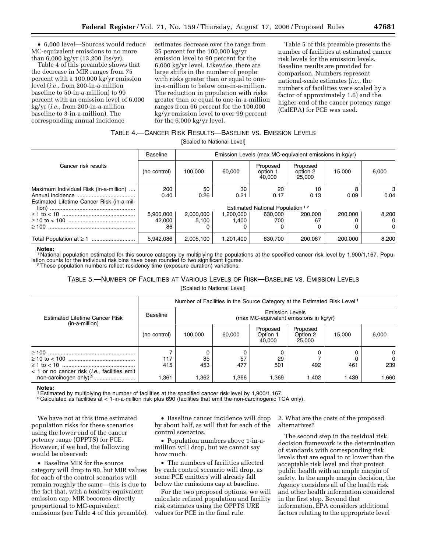• 6,000 level—Sources would reduce MC-equivalent emissions to no more than 6,000 kg/yr (13,200 lbs/yr).

Table 4 of this preamble shows that the decrease in MIR ranges from 75 percent with a 100,000 kg/yr emission level (*i.e.*, from 200-in-a-million baseline to 50-in-a-million) to 99 percent with an emission level of 6,000 kg/yr (*i.e.*, from 200-in-a-million baseline to 3-in-a-million). The corresponding annual incidence

estimates decrease over the range from 35 percent for the 100,000 kg/yr emission level to 90 percent for the 6,000 kg/yr level. Likewise, there are large shifts in the number of people with risks greater than or equal to onein-a-million to below one-in-a-million. The reduction in population with risks greater than or equal to one-in-a-million ranges from 66 percent for the 100,000 kg/yr emission level to over 99 percent for the 6,000 kg/yr level.

Table 5 of this preamble presents the number of facilities at estimated cancer risk levels for the emission levels. Baseline results are provided for comparison. Numbers represent national-scale estimates (*i.e.*, the numbers of facilities were scaled by a factor of approximately 1.6) and the higher-end of the cancer potency range (CalEPA) for PCE was used.

# TABLE 4.—CANCER RISK RESULTS—BASELINE VS. EMISSION LEVELS

[Scaled to National Level]

|                                           | <b>Baseline</b> | Emission Levels (max MC-equivalent emissions in kg/yr) |           |                                             |                                |         |          |
|-------------------------------------------|-----------------|--------------------------------------------------------|-----------|---------------------------------------------|--------------------------------|---------|----------|
| Cancer risk results                       | (no control)    | 100.000                                                | 60.000    | Proposed<br>option 1<br>40.000              | Proposed<br>option 2<br>25,000 | 15.000  | 6.000    |
| Maximum Individual Risk (in-a-million)    | 200             | 50                                                     | 30        | 20                                          | 10                             | 8       | 3        |
|                                           | 0.40            | 0.26                                                   | 0.21      | 0.17                                        | 0.13                           | 0.09    | 0.04     |
| Estimated Lifetime Cancer Risk (in-a-mil- |                 |                                                        |           |                                             |                                |         |          |
|                                           |                 |                                                        |           | Estimated National Population <sup>12</sup> |                                |         |          |
|                                           | 5.900.000       | 2,000,000                                              | 1,200,000 | 630.000                                     | 200.000                        | 200.000 | 8,200    |
|                                           | 42.000          | 5.100                                                  | 1.400     | 700                                         | 67                             |         | $\Omega$ |
|                                           | 86              | 0                                                      |           |                                             |                                |         | $\Omega$ |
|                                           | 5.942.086       | 2.005.100                                              | 1.201.400 | 630.700                                     | 200.067                        | 200.000 | 8,200    |

#### **Notes:**

1 National population estimated for this source category by multiplying the populations at the specified cancer risk level by 1,900/1,167. Population counts for the individual risk bins have been rounded to two significant figures. 2These population numbers reflect residency time (exposure duration) variations.

# TABLE 5.—NUMBER OF FACILITIES AT VARIOUS LEVELS OF RISK—BASELINE VS. EMISSION LEVELS [Scaled to National Level]

| <b>Estimated Lifetime Cancer Risk</b><br>(in-a-million) | Number of Facilities in the Source Category at the Estimated Risk Level <sup>1</sup> |                                                                  |           |                                |                                |        |                      |  |  |
|---------------------------------------------------------|--------------------------------------------------------------------------------------|------------------------------------------------------------------|-----------|--------------------------------|--------------------------------|--------|----------------------|--|--|
|                                                         | Baseline                                                                             | <b>Emission Levels</b><br>(max MC-equivalent emissions in kg/yr) |           |                                |                                |        |                      |  |  |
|                                                         | (no control)                                                                         | 100.000                                                          | 60,000    | Proposed<br>Option 1<br>40.000 | Proposed<br>Option 2<br>25,000 | 15.000 | 6,000                |  |  |
|                                                         | 117<br>415                                                                           | 85<br>453                                                        | 57<br>477 | 29<br>501                      | 492                            | 461    | 0<br>$\Omega$<br>239 |  |  |
| $<$ 1 or no cancer risk ( <i>i.e.</i> , facilities emit | l.361                                                                                | .362                                                             | .366      | 1.369                          | 1.402                          | 1.439  | 1,660                |  |  |

#### **Notes:**

1Estimated by multiplying the number of facilities at the specified cancer risk level by 1,900/1,167.

2 Calculated as facilities at < 1-in-a-million risk plus 690 (facilities that emit the non-carcinogenic TCA only).

We have not at this time estimated population risks for these scenarios using the lower end of the cancer potency range (OPPTS) for PCE. However, if we had, the following would be observed:

• Baseline MIR for the source category will drop to 90, but MIR values for each of the control scenarios will remain roughly the same—this is due to the fact that, with a toxicity-equivalent emission cap, MIR becomes directly proportional to MC-equivalent emissions (see Table 4 of this preamble).

• Baseline cancer incidence will drop by about half, as will that for each of the control scenarios.

• Population numbers above 1-in-amillion will drop, but we cannot say how much.

• The numbers of facilities affected by each control scenario will drop, as some PCE emitters will already fall below the emissions cap at baseline.

For the two proposed options, we will calculate refined population and facility risk estimates using the OPPTS URE values for PCE in the final rule.

2. What are the costs of the proposed alternatives?

The second step in the residual risk decision framework is the determination of standards with corresponding risk levels that are equal to or lower than the acceptable risk level and that protect public health with an ample margin of safety. In the ample margin decision, the Agency considers all of the health risk and other health information considered in the first step. Beyond that information, EPA considers additional factors relating to the appropriate level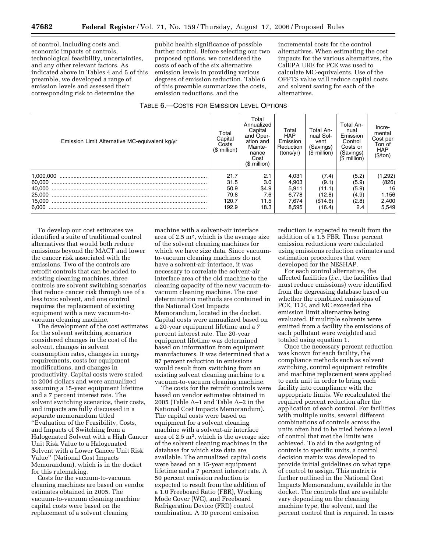of control, including costs and economic impacts of controls, technological feasibility, uncertainties, and any other relevant factors. As indicated above in Tables 4 and 5 of this preamble, we developed a range of emission levels and assessed their corresponding risk to determine the

public health significance of possible further control. Before selecting our two proposed options, we considered the costs of each of the six alternative emission levels in providing various degrees of emission reduction. Table 6 of this preamble summarizes the costs, emission reductions, and the

incremental costs for the control alternatives. When estimating the cost impacts for the various alternatives, the CalEPA URE for PCE was used to calculate MC-equivalents. Use of the OPPTS value will reduce capital costs and solvent saving for each of the alternatives.

#### TABLE 6.—COSTS FOR EMISSION LEVEL OPTIONS

| Emission Limit Alternative MC-equivalent kg/yr | Total<br>Capital<br>Costs<br>$(S$ million) | Total<br>Annualized<br>Capital<br>and Oper-<br>ation and<br>Mainte-<br>nance<br>Cost<br>$$$ million) | Total<br><b>HAP</b><br>Emission<br>Reduction<br>(tons/yr) | Total An-<br>nual Sol-<br>vent<br>(Savings)<br>$$$ million) | Total An-<br>nual<br>Emission<br>Control<br>Costs or<br>(Savings)<br>$$$ million) | Incre-<br>mental<br>Cost per<br>Ton of<br><b>HAP</b><br>(\$/ton) |
|------------------------------------------------|--------------------------------------------|------------------------------------------------------------------------------------------------------|-----------------------------------------------------------|-------------------------------------------------------------|-----------------------------------------------------------------------------------|------------------------------------------------------------------|
|                                                | 21.7                                       | 2.1                                                                                                  | 4.031                                                     | (7.4)                                                       | (5.2)                                                                             | (1,292)                                                          |
| 60.000<br>40.000                               | 31.5<br>50.9                               | 3.0<br>\$4.9                                                                                         | 4,903<br>5,911                                            | (9.1)<br>(11.1)                                             | (5.9)<br>(5.9)                                                                    | (826)<br>16                                                      |
| 25.000                                         | 79.8                                       | 7.6                                                                                                  | 6.778                                                     | (12.8)                                                      | (4.9)                                                                             | 1,156                                                            |
| 15.000                                         | 120.7                                      | 11.5                                                                                                 | 7,674                                                     | (\$14.6)                                                    | (2.8)                                                                             | 2,400                                                            |
| 6.000                                          | 192.9                                      | 18.3                                                                                                 | 8,595                                                     | (16.4)                                                      | 2.4                                                                               | 5,549                                                            |

To develop our cost estimates we identified a suite of traditional control alternatives that would both reduce emissions beyond the MACT and lower the cancer risk associated with the emissions. Two of the controls are retrofit controls that can be added to existing cleaning machines, three controls are solvent switching scenarios that reduce cancer risk through use of a less toxic solvent, and one control requires the replacement of existing equipment with a new vacuum-tovacuum cleaning machine.

The development of the cost estimates for the solvent switching scenarios considered changes in the cost of the solvent, changes in solvent consumption rates, changes in energy requirements, costs for equipment modifications, and changes in productivity. Capital costs were scaled to 2004 dollars and were annualized assuming a 15-year equipment lifetime and a 7 percent interest rate. The solvent switching scenarios, their costs, and impacts are fully discussed in a separate memorandum titled ''Evaluation of the Feasibility, Costs, and Impacts of Switching from a Halogenated Solvent with a High Cancer Unit Risk Value to a Halogenated Solvent with a Lower Cancer Unit Risk Value'' (National Cost Impacts Memorandum), which is in the docket for this rulemaking.

Costs for the vacuum-to-vacuum cleaning machines are based on vendor estimates obtained in 2005. The vacuum-to-vacuum cleaning machine capital costs were based on the replacement of a solvent cleaning

machine with a solvent-air interface area of 2.5 m2, which is the average size of the solvent cleaning machines for which we have size data. Since vacuumto-vacuum cleaning machines do not have a solvent-air interface, it was necessary to correlate the solvent-air interface area of the old machine to the cleaning capacity of the new vacuum-tovacuum cleaning machine. The cost determination methods are contained in the National Cost Impacts Memorandum, located in the docket. Capital costs were annualized based on a 20-year equipment lifetime and a 7 percent interest rate. The 20-year equipment lifetime was determined based on information from equipment manufacturers. It was determined that a 97 percent reduction in emissions would result from switching from an existing solvent cleaning machine to a vacuum-to-vacuum cleaning machine.

The costs for the retrofit controls were based on vendor estimates obtained in 2005 (Table A–1 and Table A–2 in the National Cost Impacts Memorandum). The capital costs were based on equipment for a solvent cleaning machine with a solvent-air interface area of  $2.5 \text{ m}^2$ , which is the average size of the solvent cleaning machines in the database for which size data are available. The annualized capital costs were based on a 15-year equipment lifetime and a 7 percent interest rate. A 50 percent emission reduction is expected to result from the addition of a 1.0 Freeboard Ratio (FBR), Working Mode Cover (WC), and Freeboard Refrigeration Device (FRD) control combination. A 30 percent emission

reduction is expected to result from the addition of a 1.5 FBR. These percent emission reductions were calculated using emissions reduction estimates and estimation procedures that were developed for the NESHAP.

For each control alternative, the affected facilities (*i.e.*, the facilities that must reduce emissions) were identified from the degreasing database based on whether the combined emissions of PCE, TCE, and MC exceeded the emission limit alternative being evaluated. If multiple solvents were emitted from a facility the emissions of each pollutant were weighted and totaled using equation 1.

Once the necessary percent reduction was known for each facility, the compliance methods such as solvent switching, control equipment retrofits and machine replacement were applied to each unit in order to bring each facility into compliance with the appropriate limits. We recalculated the required percent reduction after the application of each control. For facilities with multiple units, several different combinations of controls across the units often had to be tried before a level of control that met the limits was achieved. To aid in the assigning of controls to specific units, a control decision matrix was developed to provide initial guidelines on what type of control to assign. This matrix is further outlined in the National Cost Impacts Memorandum, available in the docket. The controls that are available vary depending on the cleaning machine type, the solvent, and the percent control that is required. In cases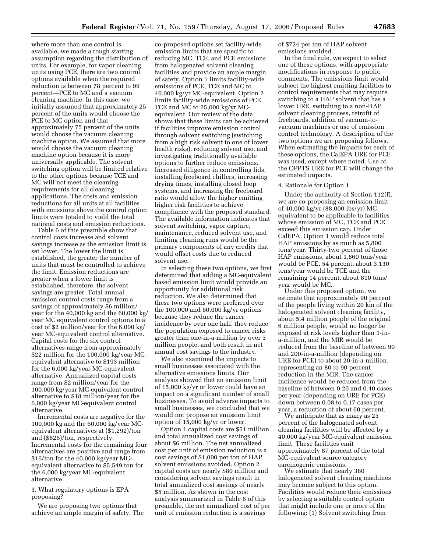where more than one control is available, we made a rough starting assumption regarding the distribution of units. For example, for vapor cleaning units using PCE, there are two control options available when the required reduction is between 78 percent to 99 percent—PCE to MC and a vacuum cleaning machine. In this case, we initially assumed that approximately 25 percent of the units would choose the PCE to MC option and that approximately 75 percent of the units would choose the vacuum cleaning machine option. We assumed that more would choose the vacuum cleaning machine option because it is more universally applicable. The solvent switching option will be limited relative to the other options because TCE and MC will not meet the cleaning requirements for all cleaning applications. The costs and emission reductions for all units at all facilities with emissions above the control option limits were totaled to yield the total national costs and emission reductions.

Table 6 of this preamble show that control costs increase and solvent savings increase as the emission limit is set lower. The lower the limit is established, the greater the number of units that must be controlled to achieve the limit. Emission reductions are greater when a lower limit is established, therefore, the solvent savings are greater. Total annual emission control costs range from a savings of approximately \$6 million/ year for the 40,000 kg and the 60,000 kg/ year MC equivalent control options to a cost of \$2 million/year for the 6,000 kg/ year MC-equivalent control alternative. Capital costs for the six control alternatives range from approximately \$22 million for the 100,000 kg/year MCequivalent alternative to \$193 million for the 6,000 kg/year MC-equivalent alternative. Annualized capital costs range from \$2 million/year for the 100,000 kg/year MC-equivalent control alternative to \$18 million/year for the 6,000 kg/year MC-equivalent control alternative.

Incremental costs are negative for the 100,000 kg and the 60,000 kg/year MCequivalent alternatives at (\$1,292)/ton and (\$826)/ton, respectively. Incremental costs for the remaining four alternatives are positive and range from \$16/ton for the 40,000 kg/year MCequivalent alternative to \$5,549 ton for the 6,000 kg/year MC-equivalent alternative.

3. What regulatory options is EPA proposing?

We are proposing two options that achieve an ample margin of safety. The

co-proposed options set facility-wide emission limits that are specific to reducing MC, TCE, and PCE emissions from halogenated solvent cleaning facilities and provide an ample margin of safety. Option 1 limits facility-wide emissions of PCE, TCE and MC to 40,000 kg/yr MC-equivalent. Option 2 limits facility-wide emissions of PCE, TCE and MC to 25,000 kg/yr MCequivalent. Our review of the data shows that these limits can be achieved if facilities improve emission control through solvent switching (switching from a high risk solvent to one of lower health risks), reducing solvent use, and investigating traditionally available options to further reduce emissions. Increased diligence in controlling lids, installing freeboard chillers, increasing drying times, installing closed loop systems, and increasing the freeboard ratio would allow the higher emitting higher risk facilities to achieve compliance with the proposed standard. The available information indicates that solvent switching, vapor capture, maintenance, reduced solvent use, and limiting cleaning runs would be the primary components of any credits that would offset costs due to reduced solvent use.

In selecting these two options, we first determined that adding a MC-equivalent based emission limit would provide an opportunity for additional risk reduction. We also determined that these two options were preferred over the 100,000 and 60,000 kg/yr options because they reduce the cancer incidence by over one half, they reduce the population exposed to cancer risks greater than one-in-a-million by over 5 million people, and both result in net annual cost savings to the industry.

We also examined the impacts to small businesses associated with the alternative emissions limits. Our analysis showed that an emission limit of 15,000 kg/yr or lower could have an impact on a significant number of small businesses. To avoid adverse impacts to small businesses, we concluded that we would not propose an emission limit option of 15,000 kg/yr or lower.

Option 1 capital costs are \$51 million and total annualized cost savings of about \$6 million. The net annualized cost per unit of emission reduction is a cost savings of \$1,000 per ton of HAP solvent emissions avoided. Option 2 capital costs are nearly \$80 million and considering solvent savings result in total annualized cost savings of nearly \$5 million. As shown in the cost analysis summarized in Table 6 of this preamble, the net annualized cost of per unit of emission reduction is a savings

of \$724 per ton of HAP solvent emissions avoided.

In the final rule, we expect to select one of these options, with appropriate modifications in response to public comments. The emissions limit would subject the highest emitting facilities to control requirements that may require switching to a HAP solvent that has a lower URE, switching to a non-HAP solvent cleaning process, retrofit of freeboards, addition of vacuum-tovacuum machines or use of emission control technology. A description of the two options we are proposing follows. When estimating the impacts for each of these options, the CalEPA URE for PCE was used, except where noted. Use of the OPPTS URE for PCE will change the estimated impacts.

#### 4. Rationale for Option 1

Under the authority of Section 112(f), we are co-proposing an emission limit of 40,000 kg/yr (88,000 lbs/yr) MCequivalent to be applicable to facilities whose emission of MC, TCE and PCE exceed this emission cap. Under CalEPA, Option 1 would reduce total HAP emissions by as much as 5,800 tons/year. Thirty-two percent of those HAP emissions, about 1,860 tons/year would be PCE, 54 percent, about 3,130 tons/year would be TCE and the remaining 14 percent, about 810 tons/ year would be MC.

Under this proposed option, we estimate that approximately 90 percent of the people living within 20 km of the halogenated solvent cleaning facility, about 5.4 million people of the original 6 million people, would no longer be exposed at risk levels higher than 1-ina-million, and the MIR would be reduced from the baseline of between 90 and 200-in-a-million (depending on URE for PCE) to about 20-in-a-million, representing an 80 to 90 percent reduction in the MIR. The cancer incidence would be reduced from the baseline of between 0.20 and 0.40 cases per year (depending on URE for PCE) down between 0.08 to 0.17 cases per year, a reduction of about 60 percent.

We anticipate that as many as 25 percent of the halogenated solvent cleaning facilities will be affected by a 40,000 kg/year MC-equivalent emission limit. These facilities emit approximately 87 percent of the total MC-equivalent source category carcinogenic emissions.

We estimate that nearly 380 halogenated solvent cleaning machines may become subject to this option. Facilities would reduce their emissions by selecting a suitable control option that might include one or more of the following: (1) Solvent switching from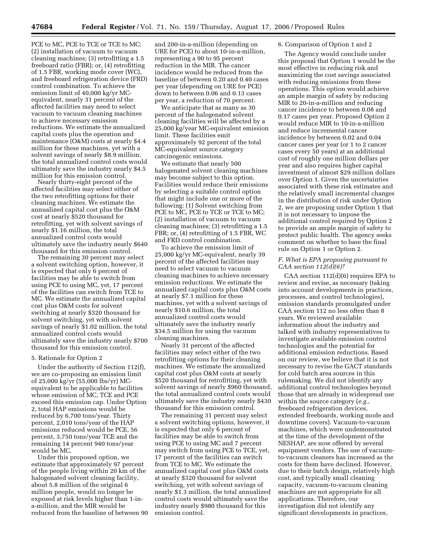PCE to MC, PCE to TCE or TCE to MC; (2) installation of vacuum to vacuum cleaning machines; (3) retrofitting a 1.5 freeboard ratio (FBR); or, (4) retrofitting of 1.5 FBR, working mode cover (WC), and freeboard refrigeration device (FRD) control combination. To achieve the emission limit of 40,000 kg/yr MCequivalent, nearly 31 percent of the affected facilities may need to select vacuum to vacuum cleaning machines to achieve necessary emission reductions. We estimate the annualized capital costs plus the operation and maintenance (O&M) costs at nearly \$4.4 million for these machines, yet with a solvent savings of nearly \$8.9 million, the total annualized control costs would ultimately save the industry nearly \$4.5 million for this emission control.

Nearly thirty-eight percent of the affected facilities may select either of the two retrofitting options for their cleaning machines. We estimate the annualized capital cost plus the O&M cost at nearly \$520 thousand for retrofitting, yet with solvent savings of nearly \$1.16 million, the total annualized control costs would ultimately save the industry nearly \$640 thousand for this emission control.

The remaining 30 percent may select a solvent switching option, however, it is expected that only 6 percent of facilities may be able to switch from using PCE to using MC, yet, 17 percent of the facilities can switch from TCE to MC. We estimate the annualized capital cost plus O&M costs for solvent switching at nearly \$320 thousand for solvent switching, yet with solvent savings of nearly \$1.02 million, the total annualized control costs would ultimately save the industry nearly \$700 thousand for this emission control.

#### 5. Rationale for Option 2

Under the authority of Section 112(f), we are co-proposing an emission limit of 25,000 kg/yr (55,000 lbs/yr) MCequivalent to be applicable to facilities whose emission of MC, TCE and PCE exceed this emission cap. Under Option 2, total HAP emissions would be reduced by 6,700 tons/year. Thirty percent, 2,010 tons/year of the HAP emissions reduced would be PCE, 56 percent, 3,750 tons/year TCE and the remaining 14 percent 940 tons/year would be MC.

Under this proposed option, we estimate that approximately 97 percent of the people living within 20 km of the halogenated solvent cleaning facility, about 5.8 million of the original 6 million people, would no longer be exposed at risk levels higher than 1-ina-million, and the MIR would be reduced from the baseline of between 90

and 200-in-a-million (depending on URE for PCE) to about 10-in-a-million, representing a 90 to 95 percent reduction in the MIR. The cancer incidence would be reduced from the baseline of between 0.20 and 0.40 cases per year (depending on URE for PCE) down to between 0.06 and 0.13 cases per year, a reduction of 70 percent.

We anticipate that as many as 30 percent of the halogenated solvent cleaning facilities will be affected by a 25,000 kg/year MC-equivalent emission limit. These facilities emit approximately 92 percent of the total MC-equivalent source category carcinogenic emissions.

We estimate that nearly 500 halogenated solvent cleaning machines may become subject to this option. Facilities would reduce their emissions by selecting a suitable control option that might include one or more of the following: (1) Solvent switching from PCE to MC, PCE to TCE or TCE to MC; (2) installation of vacuum to vacuum cleaning machines; (3) retrofitting a 1.5 FBR; or, (4) retrofitting of 1.5 FBR, WC and FRD control combination.

To achieve the emission limit of 25,000 kg/yr MC-equivalent, nearly 39 percent of the affected facilities may need to select vacuum to vacuum cleaning machines to achieve necessary emission reductions. We estimate the annualized capital costs plus O&M costs at nearly \$7.1 million for these machines, yet with a solvent savings of nearly \$10.6 million, the total annualized control costs would ultimately save the industry nearly \$34.5 million for using the vacuum cleaning machines.

Nearly 31 percent of the affected facilities may select either of the two retrofitting options for their cleaning machines. We estimate the annualized capital cost plus O&M costs at nearly \$520 thousand for retrofitting, yet with solvent savings of nearly \$960 thousand, the total annualized control costs would ultimately save the industry nearly \$430 thousand for this emission control.

The remaining 31 percent may select a solvent switching options, however, it is expected that only 6 percent of facilities may be able to switch from using PCE to using MC and 7 percent may switch from using PCE to TCE, yet, 17 percent of the facilities can switch from TCE to MC. We estimate the annualized capital cost plus O&M costs at nearly \$320 thousand for solvent switching, yet with solvent savings of nearly \$1.3 million, the total annualized control costs would ultimately save the industry nearly \$980 thousand for this emission control.

### 6. Comparison of Option 1 and 2

The Agency would conclude under this proposal that Option 1 would be the most effective in reducing risk and maximizing the cost savings associated with reducing emissions from these operations. This option would achieve an ample margin of safety by reducing MIR to 20-in-a-million and reducing cancer incidence to between 0.08 and 0.17 cases per year. Proposed Option 2 would reduce MIR to 10-in-a-million and reduce incremental cancer incidence by between 0.02 and 0.04 cancer cases per year (or 1 to 2 cancer cases every 50 years) at an additional cost of roughly one million dollars per year and also requires higher capital investment of almost \$29 million dollars over Option 1. Given the uncertainties associated with these risk estimates and the relatively small incremental changes in the distribution of risk under Option 2, we are proposing under Option 1 that it is not necessary to impose the additional control required by Option 2 to provide an ample margin of safety to protect public health. The agency seeks comment on whether to base the final rule on Option 1 or Option 2.

# *F. What is EPA proposing pursuant to CAA section 112(d)(6)?*

CAA section 112(d)(6) requires EPA to review and revise, as necessary (taking into account developments in practices, processes, and control technologies), emission standards promulgated under CAA section 112 no less often than 8 years. We reviewed available information about the industry and talked with industry representatives to investigate available emission control technologies and the potential for additional emission reductions. Based on our review, we believe that it is not necessary to revise the GACT standards for cold batch area sources in this rulemaking. We did not identify any additional control technologies beyond those that are already in widespread use within the source category (*e.g.*, freeboard refrigeration devices, extended freeboards, working mode and downtime covers). Vacuum-to-vacuum machines, which were undemonstrated at the time of the development of the NESHAP, are now offered by several equipment vendors. The use of vacuumto-vacuum cleaners has increased as the costs for them have declined. However, due to their batch design, relatively high cost, and typically small cleaning capacity, vacuum-to-vacuum cleaning machines are not appropriate for all applications. Therefore, our investigation did not identify any significant developments in practices,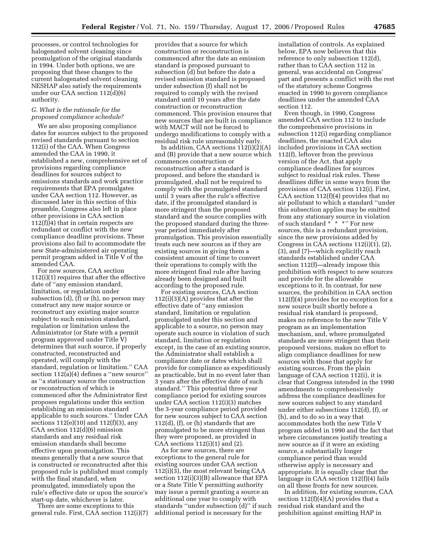processes, or control technologies for halogenated solvent cleaning since promulgation of the original standards in 1994. Under both options, we are proposing that these changes to the current halogenated solvent cleaning NESHAP also satisfy the requirements under our CAA section 112(d)(6) authority.

# *G. What is the rationale for the proposed compliance schedule?*

We are also proposing compliance dates for sources subject to the proposed revised standards pursuant to section 112(i) of the CAA. When Congress amended the CAA in 1990, it established a new, comprehensive set of provisions regarding compliance deadlines for sources subject to emissions standards and work practice requirements that EPA promulgates under CAA section 112. However, as discussed later in this section of this preamble, Congress also left in place other provisions in CAA section 112(f))4) that in certain respects are redundant or conflict with the new compliance deadline provisions. These provisions also fail to accommodate the new State-administered air operating permit program added in Title V of the amended CAA.

For new sources, CAA section 112(i)(1) requires that after the effective date of ''any emission standard, limitation, or regulation under subsection (d), (f) or (h), no person may construct any new major source or reconstruct any existing major source subject to such emission standard, regulation or limitation unless the Administrator (or State with a permit program approved under Title V) determines that such source, if properly constructed, reconstructed and operated, will comply with the standard, regulation or limitation.'' CAA section 112(a)(4) defines a ''new source'' as ''a stationary source the construction or reconstruction of which is commenced after the Administrator first proposes regulations under this section establishing an emission standard applicable to such sources.'' Under CAA sections 112(e)(10) and 112(f)(3), any CAA section 112(d)(6) emission standards and any residual risk emission standards shall become effective upon promulgation. This means generally that a new source that is constructed or reconstructed after this proposed rule is published must comply with the final standard, when promulgated, immediately upon the rule's effective date or upon the source's start-up date, whichever is later.

There are some exceptions to this general rule. First, CAA section 112(i)(7)

provides that a source for which construction or reconstruction is commenced after the date an emission standard is proposed pursuant to subsection (d) but before the date a revised emission standard is proposed under subsection (f) shall not be required to comply with the revised standard until 10 years after the date construction or reconstruction commenced. This provision ensures that new sources that are built in compliance with MACT will not be forced to undergo modifications to comply with a residual risk rule unreasonably early.

In addition, CAA sections 112(i)(2)(A) and (B) provide that a new source which commences construction or reconstruction after a standard is proposed, and before the standard is promulgated, shall not be required to comply with the promulgated standard until 3 years after the rule's effective date, if the promulgated standard is more stringent than the proposed standard and the source complies with the proposed standard during the threeyear period immediately after promulgation. This provision essentially treats such new sources as if they are existing sources in giving them a consistent amount of time to convert their operations to comply with the more stringent final rule after having already been designed and built according to the proposed rule.

For existing sources, CAA section 112(i)(3)(A) provides that after the effective date of ''any emission standard, limitation or regulation promulgated under this section and applicable to a source, no person may operate such source in violation of such standard, limitation or regulation except, in the case of an existing source, the Administrator shall establish a compliance date or dates which shall provide for compliance as expeditiously as practicable, but in no event later than 3 years after the effective date of such standard.'' This potential three year compliance period for existing sources under CAA section 112(i)(3) matches the 3-year compliance period provided for new sources subject to CAA section 112(d), (f), or (h) standards that are promulgated to be more stringent than they were proposed, as provided in CAA sections  $112(i)(1)$  and  $(2)$ .

As for new sources, there are exceptions to the general rule for existing sources under CAA section 112(i)(3), the most relevant being CAA section 112(i)(3)(B) allowance that EPA or a State Title V permitting authority may issue a permit granting a source an additional one year to comply with standards ''under subsection (d)'' if such additional period is necessary for the

installation of controls. As explained below, EPA now believes that this reference to only subsection 112(d), rather than to CAA section 112 in general, was accidental on Congress' part and presents a conflict with the rest of the statutory scheme Congress enacted in 1990 to govern compliance deadlines under the amended CAA section 112.

Even though, in 1990, Congress amended CAA section 112 to include the comprehensive provisions in subsection 112(i) regarding compliance deadlines, the enacted CAA also included provisions in CAA section 112(f), leftover from the previous version of the Act, that apply compliance deadlines for sources subject to residual risk rules. These deadlines differ in some ways from the provisions of CAA section 112(i). First, CAA section 112(f)(4) provides that no air pollutant to which a standard ''under this subsection applies may be emitted from any stationary source in violation of such standard \* \* \* \* For new sources, this is a redundant provision, since the new provisions added by Congress in CAA sections  $112(i)(1)$ ,  $(2)$ , (3), and (7)—which explicitly reach standards established under CAA section 112(f)—already impose this prohibition with respect to new sources and provide for the allowable exceptions to it. In contrast, for new sources, the prohibition in CAA section 112(f)(4) provides for no exception for a new source built shortly before a residual risk standard is proposed, makes no reference to the new Title V program as an implementation mechanism, and, where promulgated standards are more stringent than their proposed versions, makes no effort to align compliance deadlines for new sources with those that apply for existing sources. From the plain language of CAA section 112(i), it is clear that Congress intended in the 1990 amendments to comprehensively address the compliance deadlines for new sources subject to any standard under either subsections 112(d), (f), or (h), and to do so in a way that accommodates both the new Title V program added in 1990 and the fact that where circumstances justify treating a new source as if it were an existing source, a substantially longer compliance period than would otherwise apply is necessary and appropriate. It is equally clear that the language in CAA section 112(f)(4) fails on all these fronts for new sources.

In addition, for existing sources, CAA section  $112(f)(4)(A)$  provides that a residual risk standard and the prohibition against emitting HAP in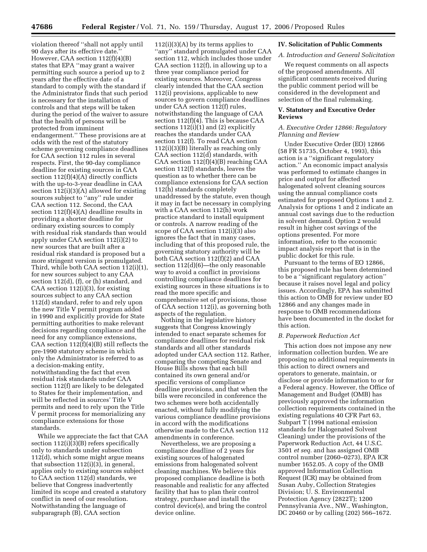violation thereof ''shall not apply until 90 days after its effective date.'' However, CAA section 112(f)(4)(B) states that EPA ''may grant a waiver permitting such source a period up to 2 years after the effective date of a standard to comply with the standard if the Administrator finds that such period is necessary for the installation of controls and that steps will be taken during the period of the waiver to assure that the health of persons will be protected from imminent endangerment.'' These provisions are at odds with the rest of the statutory scheme governing compliance deadlines for CAA section 112 rules in several respects. First, the 90-day compliance deadline for existing sources in CAA section 112(f)(4)(A) directly conflicts with the up-to-3-year deadline in CAA section 112(i)(3)(A) allowed for existing sources subject to ''any'' rule under CAA section 112. Second, the CAA section 112(f)(4)(A) deadline results in providing a shorter deadline for ordinary existing sources to comply with residual risk standards than would apply under CAA section 112(i)(2) to new sources that are built after a residual risk standard is proposed but a more stringent version is promulgated. Third, while both CAA section 112(i)(1), for new sources subject to any CAA section 112(d), (f), or (h) standard, and CAA section  $112(i)(3)$ , for existing sources subject to any CAA section 112(d) standard, refer to and rely upon the new Title V permit program added in 1990 and explicitly provide for State permitting authorities to make relevant decisions regarding compliance and the need for any compliance extensions, CAA section  $112\left(\frac{f}{f}\right)(4)(B)$  still reflects the pre-1990 statutory scheme in which only the Administrator is referred to as a decision-making entity, notwithstanding the fact that even residual risk standards under CAA section 112(f) are likely to be delegated to States for their implementation, and will be reflected in sources' Title V permits and need to rely upon the Title V permit process for memorializing any compliance extensions for those standards.

While we appreciate the fact that CAA section 112(i)(3)(B) refers specifically only to standards under subsection 112(d), which some might argue means that subsection 112(i)(3), in general, applies only to existing sources subject to CAA section 112(d) standards, we believe that Congress inadvertently limited its scope and created a statutory conflict in need of our resolution. Notwithstanding the language of subparagraph (B), CAA section

112(i)(3)(A) by its terms applies to ''any'' standard promulgated under CAA section 112, which includes those under CAA section 112(f), in allowing up to a three year compliance period for existing sources. Moreover, Congress clearly intended that the CAA section 112(i) provisions, applicable to new sources to govern compliance deadlines under CAA section 112(f) rules, notwithstanding the language of CAA section  $112(f)(4)$ . This is because CAA sections 112(i)(1) and (2) explicitly reaches the standards under CAA section 112(f). To read CAA section 112(i)(3)(B) literally as reaching only CAA section 112(d) standards, with CAA section 112(f)(4)(B) reaching CAA section 112(f) standards, leaves the question as to whether there can be compliance extensions for CAA section 112(h) standards completely unaddressed by the statute, even though it may in fact be necessary in complying with a CAA section 112(h) work practice standard to install equipment or controls. A narrow reading of the scope of CAA section 112(i)(3) also ignores the fact that in many cases, including that of this proposed rule, the governing statutory authority will be both CAA section 112(f)(2) and CAA section 112(d)(6)—the only reasonable way to avoid a conflict in provisions controlling compliance deadlines for existing sources in these situations is to read the more specific and comprehensive set of provisions, those of CAA section 112(i), as governing both aspects of the regulation.

Nothing in the legislative history suggests that Congress knowingly intended to enact separate schemes for compliance deadlines for residual risk standards and all other standards adopted under CAA section 112. Rather, comparing the competing Senate and House Bills shows that each bill contained its own general and/or specific versions of compliance deadline provisions, and that when the bills were reconciled in conference the two schemes were both accidentally enacted, without fully modifying the various compliance deadline provisions in accord with the modifications otherwise made to the CAA section 112 amendments in conference.

Nevertheless, we are proposing a compliance deadline of 2 years for existing sources of halogenated emissions from halogenated solvent cleaning machines. We believe this proposed compliance deadline is both reasonable and realistic for any affected facility that has to plan their control strategy, purchase and install the control device(s), and bring the control device online.

#### **IV. Solicitation of Public Comments**

#### *A. Introduction and General Solicitation*

We request comments on all aspects of the proposed amendments. All significant comments received during the public comment period will be considered in the development and selection of the final rulemaking.

#### **V. Statutory and Executive Order Reviews**

#### *A. Executive Order 12866: Regulatory Planning and Review*

Under Executive Order (EO) 12866 (58 FR 51735, October 4, 1993), this action is a ''significant regulatory action.'' An economic impact analysis was performed to estimate changes in price and output for affected halogenated solvent cleaning sources using the annual compliance costs estimated for proposed Options 1 and 2. Analysis for options 1 and 2 indicate an annual cost savings due to the reduction in solvent demand. Option 2 would result in higher cost savings of the options presented. For more information, refer to the economic impact analysis report that is in the public docket for this rule.

Pursuant to the terms of EO 12866, this proposed rule has been determined to be a ''significant regulatory action'' because it raises novel legal and policy issues. Accordingly, EPA has submitted this action to OMB for review under EO 12866 and any changes made in response to OMB recommendations have been documented in the docket for this action.

#### *B. Paperwork Reduction Act*

This action does not impose any new information collection burden. We are proposing no additional requirements in this action to direct owners and operators to generate, maintain, or disclose or provide information to or for a Federal agency. However, the Office of Management and Budget (OMB) has previously approved the information collection requirements contained in the existing regulations 40 CFR Part 63, Subpart T (1994 national emission standards for Halogenated Solvent Cleaning) under the provisions of the Paperwork Reduction Act, 44 U.S.C. 3501 *et seq.* and has assigned OMB control number (2060–0273), EPA ICR number 1652.05. A copy of the OMB approved Information Collection Request (ICR) may be obtained from Susan Auby, Collection Strategies Division; U. S. Environmental Protection Agency (2822T); 1200 Pennsylvania Ave., NW., Washington, DC 20460 or by calling (202) 566–1672.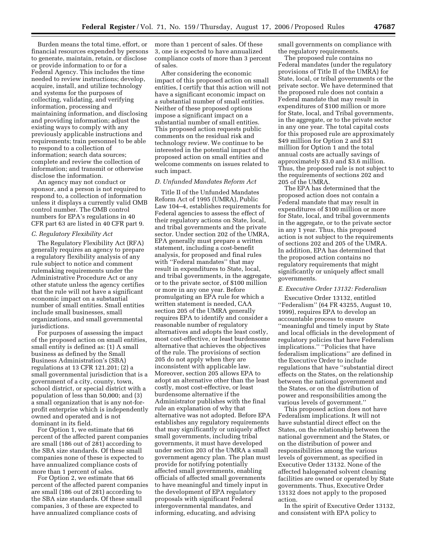Burden means the total time, effort, or financial resources expended by persons to generate, maintain, retain, or disclose or provide information to or for a Federal Agency. This includes the time needed to review instructions; develop, acquire, install, and utilize technology and systems for the purposes of collecting, validating, and verifying information, processing and maintaining information, and disclosing and providing information; adjust the existing ways to comply with any previously applicable instructions and requirements; train personnel to be able to respond to a collection of information; search data sources; complete and review the collection of information; and transmit or otherwise disclose the information.

An agency may not conduct or sponsor, and a person is not required to respond to, a collection of information unless it displays a currently valid OMB control number. The OMB control numbers for EPA's regulations in 40 CFR part 63 are listed in 40 CFR part 9.

#### *C. Regulatory Flexibility Act*

The Regulatory Flexibility Act (RFA) generally requires an agency to prepare a regulatory flexibility analysis of any rule subject to notice and comment rulemaking requirements under the Administrative Procedure Act or any other statute unless the agency certifies that the rule will not have a significant economic impact on a substantial number of small entities. Small entities include small businesses, small organizations, and small governmental jurisdictions.

For purposes of assessing the impact of the proposed action on small entities, small entity is defined as: (1) A small business as defined by the Small Business Administration's (SBA) regulations at 13 CFR 121.201; (2) a small governmental jurisdiction that is a government of a city, county, town, school district, or special district with a population of less than 50,000; and (3) a small organization that is any not-forprofit enterprise which is independently owned and operated and is not dominant in its field.

For Option 1, we estimate that 66 percent of the affected parent companies are small (186 out of 281) according to the SBA size standards. Of these small companies none of these is expected to have annualized compliance costs of more than 1 percent of sales.

For Option 2, we estimate that 66 percent of the affected parent companies are small (186 out of 281) according to the SBA size standards. Of these small companies, 3 of these are expected to have annualized compliance costs of

more than 1 percent of sales. Of these 3, one is expected to have annualized compliance costs of more than 3 percent of sales.

After considering the economic impact of this proposed action on small entities, I certify that this action will not have a significant economic impact on a substantial number of small entities. Neither of these proposed options impose a significant impact on a substantial number of small entities. This proposed action requests public comments on the residual risk and technology review. We continue to be interested in the potential impact of the proposed action on small entities and welcome comments on issues related to such impact.

#### *D. Unfunded Mandates Reform Act*

Title II of the Unfunded Mandates Reform Act of 1995 (UMRA), Public Law 104–4, establishes requirements for Federal agencies to assess the effect of their regulatory actions on State, local, and tribal governments and the private sector. Under section 202 of the UMRA, EPA generally must prepare a written statement, including a cost-benefit analysis, for proposed and final rules with ''Federal mandates'' that may result in expenditures to State, local, and tribal governments, in the aggregate, or to the private sector, of \$100 million or more in any one year. Before promulgating an EPA rule for which a written statement is needed, CAA section 205 of the UMRA generally requires EPA to identify and consider a reasonable number of regulatory alternatives and adopts the least costly, most cost-effective, or least burdensome alternative that achieves the objectives of the rule. The provisions of section 205 do not apply when they are inconsistent with applicable law. Moreover, section 205 allows EPA to adopt an alternative other than the least costly, most cost-effective, or least burdensome alternative if the Administrator publishes with the final rule an explanation of why that alternative was not adopted. Before EPA establishes any regulatory requirements that may significantly or uniquely affect small governments, including tribal governments, it must have developed under section 203 of the UMRA a small government agency plan. The plan must provide for notifying potentially affected small governments, enabling officials of affected small governments to have meaningful and timely input in the development of EPA regulatory proposals with significant Federal intergovernmental mandates, and informing, educating, and advising

small governments on compliance with the regulatory requirements.

The proposed rule contains no Federal mandates (under the regulatory provisions of Title II of the UMRA) for State, local, or tribal governments or the private sector. We have determined that the proposed rule does not contain a Federal mandate that may result in expenditures of \$100 million or more for State, local, and Tribal governments, in the aggregate, or to the private sector in any one year. The total capital costs for this proposed rule are approximately \$49 million for Option 2 and \$31 million for Option 1 and the total annual costs are actually savings of approximately \$3.0 and \$3.6 million. Thus, the proposed rule is not subject to the requirements of sections 202 and 205 of the UMRA.

The EPA has determined that the proposed action does not contain a Federal mandate that may result in expenditures of \$100 million or more for State, local, and tribal governments in the aggregate, or to the private sector in any 1 year. Thus, this proposed action is not subject to the requirements of sections 202 and 205 of the UMRA. In addition, EPA has determined that the proposed action contains no regulatory requirements that might significantly or uniquely affect small governments.

#### *E. Executive Order 13132: Federalism*

Executive Order 13132, entitled ''Federalism'' (64 FR 43255, August 10, 1999), requires EPA to develop an accountable process to ensure ''meaningful and timely input by State and local officials in the development of regulatory policies that have Federalism implications.'' ''Policies that have federalism implications'' are defined in the Executive Order to include regulations that have ''substantial direct effects on the States, on the relationship between the national government and the States, or on the distribution of power and responsibilities among the various levels of government.''

This proposed action does not have Federalism implications. It will not have substantial direct effect on the States, on the relationship between the national government and the States, or on the distribution of power and responsibilities among the various levels of government, as specified in Executive Order 13132. None of the affected halogenated solvent cleaning facilities are owned or operated by State governments. Thus, Executive Order 13132 does not apply to the proposed action.

In the spirit of Executive Order 13132, and consistent with EPA policy to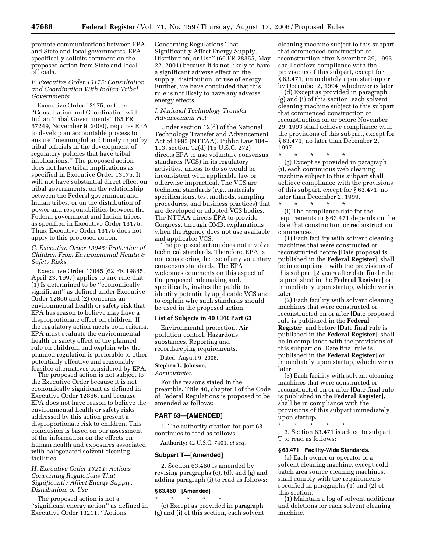promote communications between EPA and State and local governments, EPA specifically solicits comment on the proposed action from State and local officials.

#### *F. Executive Order 13175: Consultation and Coordination With Indian Tribal Governments*

Executive Order 13175, entitled ''Consultation and Coordination with Indian Tribal Governments'' (65 FR 67249, November 9, 2000), requires EPA to develop an accountable process to ensure ''meaningful and timely input by tribal officials in the development of regulatory policies that have tribal implications.'' The proposed action does not have tribal implications as specified in Executive Order 13175. It will not have substantial direct effect on tribal governments, on the relationship between the Federal government and Indian tribes, or on the distribution of power and responsibilities between the Federal government and Indian tribes, as specified in Executive Order 13175. Thus, Executive Order 13175 does not apply to this proposed action.

*G. Executive Order 13045: Protection of Children From Environmental Health & Safety Risks* 

Executive Order 13045 (62 FR 19885, April 23, 1997) applies to any rule that: (1) Is determined to be ''economically significant'' as defined under Executive Order 12866 and (2) concerns an environmental health or safety risk that EPA has reason to believe may have a disproportionate effect on children. If the regulatory action meets both criteria, EPA must evaluate the environmental health or safety effect of the planned rule on children, and explain why the planned regulation is preferable to other potentially effective and reasonably feasible alternatives considered by EPA.

The proposed action is not subject to the Executive Order because it is not economically significant as defined in Executive Order 12866, and because EPA does not have reason to believe the environmental health or safety risks addressed by this action present a disproportionate risk to children. This conclusion is based on our assessment of the information on the effects on human health and exposures associated with halogenated solvent cleaning facilities.

# *H. Executive Order 13211: Actions Concerning Regulations That Significantly Affect Energy Supply, Distribution, or Use*

The proposed action is not a ''significant energy action'' as defined in Executive Order 13211, ''Actions

Concerning Regulations That Significantly Affect Energy Supply, Distribution, or Use'' (66 FR 28355, May 22, 2001) because it is not likely to have a significant adverse effect on the supply, distribution, or use of energy. Further, we have concluded that this rule is not likely to have any adverse energy effects.

## *I. National Technology Transfer Advancement Act*

Under section 12(d) of the National Technology Transfer and Advancement Act of 1995 (NTTAA), Public Law 104– 113, section 12(d) (15 U.S.C. 272) directs EPA to use voluntary consensus standards (VCS) in its regulatory activities, unless to do so would be inconsistent with applicable law or otherwise impractical. The VCS are technical standards (*e.g.*, materials specifications, test methods, sampling procedures, and business practices) that are developed or adopted VCS bodies. The NTTAA directs EPA to provide Congress, through OMB, explanations when the Agency does not use available and applicable VCS.

The proposed action does not involve technical standards. Therefore, EPA is not considering the use of any voluntary consensus standards. The EPA welcomes comments on this aspect of the proposed rulemaking and, specifically, invites the public to identify potentially applicable VCS and to explain why such standards should be used in the proposed action.

#### **List of Subjects in 40 CFR Part 63**

Environmental protection, Air pollution control, Hazardous substances, Reporting and recordkeeping requirements.

Dated: August 9, 2006.

#### **Stephen L. Johnson,**

*Administrator.* 

For the reasons stated in the preamble, Title 40, chapter I of the Code of Federal Regulations is proposed to be amended as follows:

#### **PART 63—[AMENDED]**

1. The authority citation for part 63 continues to read as follows:

**Authority:** 42 U.S.C. 7401, *et seq.* 

#### **Subpart T—[Amended]**

2. Section 63.460 is amended by revising paragraphs (c), (d), and (g) and adding paragraph (i) to read as follows:

#### **§ 63.460 [Amended]**

\* \* \* \* \* (c) Except as provided in paragraph (g) and (i) of this section, each solvent

cleaning machine subject to this subpart that commenced construction or reconstruction after November 29, 1993 shall achieve compliance with the provisions of this subpart, except for § 63.471, immediately upon start-up or by December 2, 1994, whichever is later.

(d) Except as provided in paragraph (g) and (i) of this section, each solvent cleaning machine subject to this subpart that commenced construction or reconstruction on or before November 29, 1993 shall achieve compliance with the provisions of this subpart, except for § 63.471, no later than December 2, 1997.

\* \* \* \* \*

(g) Except as provided in paragraph (i), each continuous web cleaning machine subject to this subpart shall achieve compliance with the provisions of this subpart, except for § 63.471, no later than December 2, 1999.

\* \* \* \* \* (i) The compliance date for the requirements in § 63.471 depends on the date that construction or reconstruction commences.

(1) Each facility with solvent cleaning machines that were constructed or reconstructed before [Date proposal is published in the **Federal Register**], shall be in compliance with the provisions of this subpart [2 years after date final rule is published in the **Federal Register**] or immediately upon startup, whichever is later.

(2) Each facility with solvent cleaning machines that were constructed or reconstructed on or after [Date proposed rule is published in the **Federal Register**] and before [Date final rule is published in the **Federal Register**], shall be in compliance with the provisions of this subpart on [Date final rule is published in the **Federal Register**] or immediately upon startup, whichever is later.

(3) Each facility with solvent cleaning machines that were constructed or reconstructed on or after [Date final rule is published in the **Federal Register**], shall be in compliance with the provisions of this subpart immediately upon startup.

\* \* \* \* \*

3. Section 63.471 is added to subpart T to read as follows:

#### **§ 63.471 Facility-Wide Standards.**

(a) Each owner or operator of a solvent cleaning machine, except cold batch area source cleaning machines, shall comply with the requirements specified in paragraphs (1) and (2) of this section.

(1) Maintain a log of solvent additions and deletions for each solvent cleaning machine.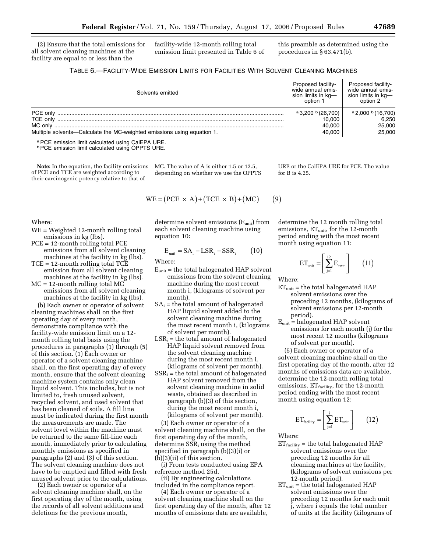(2) Ensure that the total emissions for all solvent cleaning machines at the facility are equal to or less than the

facility-wide 12-month rolling total emission limit presented in Table 6 of this preamble as determined using the procedures in § 63.471(b).

| TABLE 6.—FACILITY-WIDE EMISSION LIMITS FOR FACILITIES WITH SOLVENT CLEANING MACHINES |  |
|--------------------------------------------------------------------------------------|--|
|--------------------------------------------------------------------------------------|--|

| Solvents emitted                                                        | Proposed facility-<br>wide annual emis-<br>sion limits in kg-<br>option 1 | Proposed facility-<br>wide annual emis-<br>sion limits in kg-<br>option 2 |
|-------------------------------------------------------------------------|---------------------------------------------------------------------------|---------------------------------------------------------------------------|
| PCE only                                                                | $a$ 3,200 $b$ (26,700)                                                    | $a$ 2,000 b (16,700)                                                      |
| TCE only                                                                | 10.000                                                                    | 6.250                                                                     |
|                                                                         | 40.000                                                                    | 25,000                                                                    |
| Multiple solvents-Calculate the MC-weighted emissions using equation 1. | 40.000                                                                    | 25,000                                                                    |

a PCE emission limit calculated using CalEPA URE.

bPCE emission limit calculated using OPPTS URE.

**Note:** In the equation, the facility emissions of PCE and TCE are weighted according to their carcinogenic potency relative to that of

MC. The value of A is either 1.5 or 12.5, depending on whether we use the OPPTS

$$
WE = (PCE \times A) + (TCE \times B) + (MC)
$$
 (9)

Where:

- WE = Weighted 12-month rolling total emissions in kg (lbs).
- PCE = 12-month rolling total PCE emissions from all solvent cleaning machines at the facility in kg (lbs).

TCE = 12-month rolling total TCE emission from all solvent cleaning

machines at the facility in kg (lbs). MC = 12-month rolling total MC emissions from all solvent cleaning

machines at the facility in kg (lbs). (b) Each owner or operator of solvent cleaning machines shall on the first operating day of every month, demonstrate compliance with the facility-wide emission limit on a 12 month rolling total basis using the procedures in paragraphs (1) through (5) of this section. (1) Each owner or operator of a solvent cleaning machine shall, on the first operating day of every month, ensure that the solvent cleaning machine system contains only clean liquid solvent. This includes, but is not limited to, fresh unused solvent, recycled solvent, and used solvent that has been cleaned of soils. A fill line must be indicated during the first month the measurements are made. The solvent level within the machine must be returned to the same fill-line each month, immediately prior to calculating monthly emissions as specified in paragraphs (2) and (3) of this section. The solvent cleaning machine does not have to be emptied and filled with fresh unused solvent prior to the calculations.

(2) Each owner or operator of a solvent cleaning machine shall, on the first operating day of the month, using the records of all solvent additions and deletions for the previous month,

determine solvent emissions (Eunit) from each solvent cleaning machine using equation 10:

$$
E_{unit} = SA_i - LSR_i - SSR_i \qquad (10)
$$

Where:

- $E<sub>unit</sub>$  = the total halogenated HAP solvent emissions from the solvent cleaning machine during the most recent month i, (kilograms of solvent per month).
- $SA_i$  = the total amount of halogenated HAP liquid solvent added to the solvent cleaning machine during the most recent month i, (kilograms of solvent per month).
- $LSR_i =$  the total amount of halogenated HAP liquid solvent removed from the solvent cleaning machine during the most recent month i, (kilograms of solvent per month).
- $SSR_i$  = the total amount of halogenated HAP solvent removed from the solvent cleaning machine in solid waste, obtained as described in paragraph (b)(3) of this section, during the most recent month i, (kilograms of solvent per month).

(3) Each owner or operator of a solvent cleaning machine shall, on the first operating day of the month, determine SSR<sub>i</sub> using the method specified in paragraph (b)(3)(i) or (b)(3)(ii) of this section.

(i) From tests conducted using EPA reference method 25d.

(ii) By engineering calculations included in the compliance report.

(4) Each owner or operator of a solvent cleaning machine shall on the first operating day of the month, after 12 months of emissions data are available,

URE or the CalEPA URE for PCE. The value for B is 4.25.

determine the 12 month rolling total emissions,  $ET_{unit}$ , for the 12-month period ending with the most recent month using equation 11:

$$
ET_{unit} = \left[\sum_{j=1}^{12} E_{unit}\right] \qquad (11)
$$

Where:

- $ET<sub>unit</sub>$  = the total halogenated HAP solvent emissions over the preceding 12 months, (kilograms of solvent emissions per 12-month period).
- $E<sub>unit</sub>$  = halogenated HAP solvent emissions for each month (j) for the most recent 12 months (kilograms of solvent per month).

(5) Each owner or operator of a solvent cleaning machine shall on the first operating day of the month, after 12 months of emissions data are available, determine the 12-month rolling total emissions,  $ET_{\text{facility}}$ , for the 12-month period ending with the most recent month using equation 12:

$$
ET_{\text{facility}} = \left[\sum_{j=1}^{i} ET_{\text{unit}}\right] \qquad (12)
$$

Where:

- $ET_{\text{facility}}$  = the total halogenated HAP solvent emissions over the preceding 12 months for all cleaning machines at the facility, (kilograms of solvent emissions per 12-month period).
- $ET<sub>unit</sub>$  = the total halogenated HAP solvent emissions over the preceding 12 months for each unit j, where i equals the total number of units at the facility (kilograms of